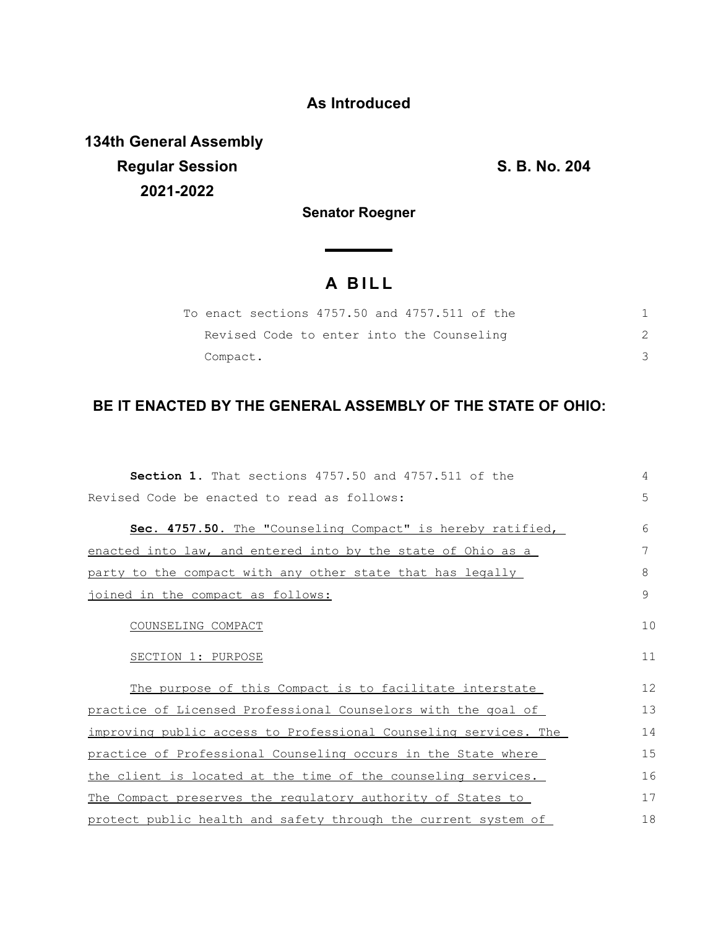## **As Introduced**

**134th General Assembly Regular Session S. B. No. 204 2021-2022**

**Senator Roegner**

## **A B I L L**

| To enact sections 4757.50 and 4757.511 of the |  |
|-----------------------------------------------|--|
| Revised Code to enter into the Counseling     |  |
| Compact.                                      |  |

## **BE IT ENACTED BY THE GENERAL ASSEMBLY OF THE STATE OF OHIO:**

| Section 1. That sections 4757.50 and 4757.511 of the             | 4            |
|------------------------------------------------------------------|--------------|
| Revised Code be enacted to read as follows:                      | 5            |
| Sec. 4757.50. The "Counseling Compact" is hereby ratified,       | 6            |
| enacted into law, and entered into by the state of Ohio as a     | 7            |
| party to the compact with any other state that has legally       | 8            |
| joined in the compact as follows:                                | $\mathsf{Q}$ |
| COUNSELING COMPACT                                               | 10           |
| SECTION 1: PURPOSE                                               | 11           |
| The purpose of this Compact is to facilitate interstate          | 12           |
| practice of Licensed Professional Counselors with the goal of    | 13           |
| improving public access to Professional Counseling services. The | 14           |
| practice of Professional Counseling occurs in the State where    | 15           |
| the client is located at the time of the counseling services.    | 16           |
| The Compact preserves the requlatory authority of States to      | 17           |
| protect public health and safety through the current system of   | 18           |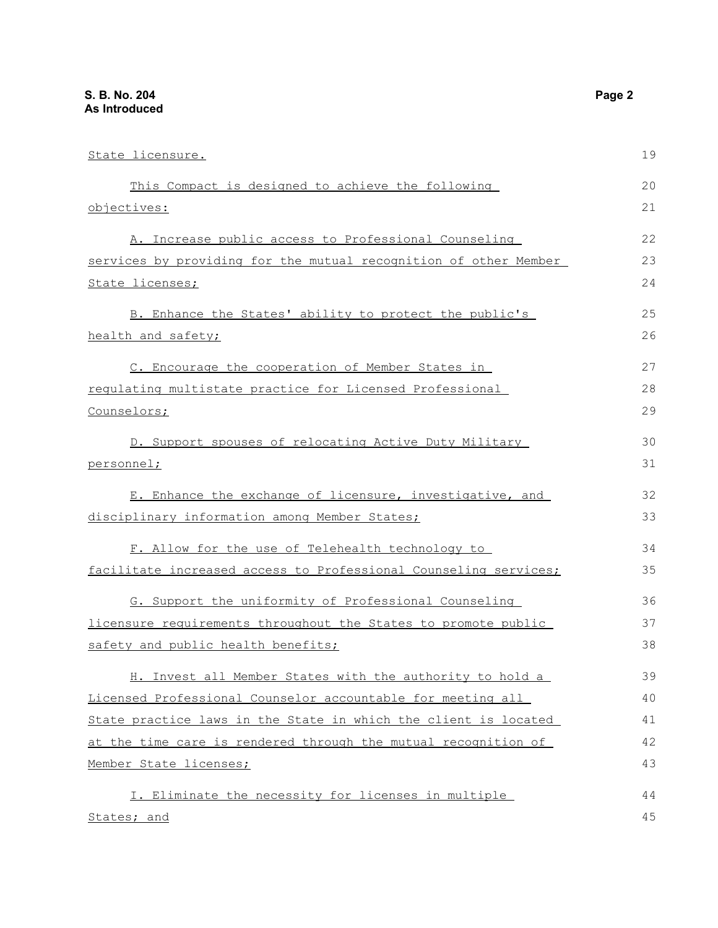| State licensure.                                                 | 19 |
|------------------------------------------------------------------|----|
| This Compact is designed to achieve the following                | 20 |
| objectives:                                                      | 21 |
| A. Increase public access to Professional Counseling             | 22 |
| services by providing for the mutual recognition of other Member | 23 |
| State licenses;                                                  | 24 |
| B. Enhance the States' ability to protect the public's           | 25 |
| health and safety;                                               | 26 |
| C. Encourage the cooperation of Member States in                 | 27 |
| requlating multistate practice for Licensed Professional         | 28 |
| Counselors;                                                      | 29 |
| D. Support spouses of relocating Active Duty Military            | 30 |
| personnel;                                                       | 31 |
| E. Enhance the exchange of licensure, investigative, and         | 32 |
| disciplinary information among Member States;                    | 33 |
| F. Allow for the use of Telehealth technology to                 | 34 |
| facilitate increased access to Professional Counseling services; | 35 |
| G. Support the uniformity of Professional Counseling             | 36 |
| licensure requirements throughout the States to promote public   | 37 |
| safety and public health benefits;                               | 38 |
| H. Invest all Member States with the authority to hold a         | 39 |
| Licensed Professional Counselor accountable for meeting all      | 40 |
| State practice laws in the State in which the client is located  | 41 |
| at the time care is rendered through the mutual recognition of   | 42 |
| Member State licenses;                                           | 43 |
| I. Eliminate the necessity for licenses in multiple              | 44 |
| States; and                                                      | 45 |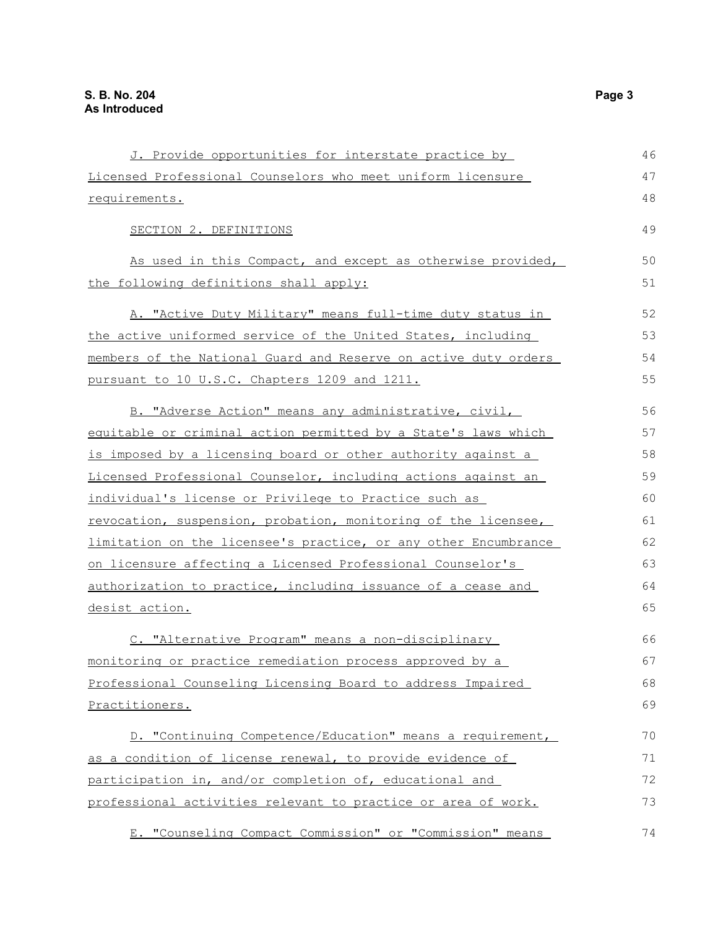| J. Provide opportunities for interstate practice by             | 46 |
|-----------------------------------------------------------------|----|
| Licensed Professional Counselors who meet uniform licensure     | 47 |
| requirements.                                                   | 48 |
| SECTION 2. DEFINITIONS                                          | 49 |
| As used in this Compact, and except as otherwise provided,      | 50 |
| the following definitions shall apply:                          | 51 |
| A. "Active Duty Military" means full-time duty status in        | 52 |
| the active uniformed service of the United States, including    | 53 |
| members of the National Guard and Reserve on active duty orders | 54 |
| pursuant to 10 U.S.C. Chapters 1209 and 1211.                   | 55 |
| B. "Adverse Action" means any administrative, civil,            | 56 |
| equitable or criminal action permitted by a State's laws which  | 57 |
| is imposed by a licensing board or other authority against a    | 58 |
| Licensed Professional Counselor, including actions against an   | 59 |
| individual's license or Privilege to Practice such as           | 60 |
| revocation, suspension, probation, monitoring of the licensee,  | 61 |
| limitation on the licensee's practice, or any other Encumbrance | 62 |
| on licensure affecting a Licensed Professional Counselor's      | 63 |
| authorization to practice, including issuance of a cease and    | 64 |
| desist action.                                                  | 65 |
| C. "Alternative Program" means a non-disciplinary               | 66 |
| monitoring or practice remediation process approved by a        | 67 |
| Professional Counseling Licensing Board to address Impaired     | 68 |
| Practitioners.                                                  | 69 |
| D. "Continuing Competence/Education" means a requirement,       | 70 |
| as a condition of license renewal, to provide evidence of       | 71 |
| participation in, and/or completion of, educational and         | 72 |
| professional activities relevant to practice or area of work.   | 73 |
| E. "Counseling Compact Commission" or "Commission" means        | 74 |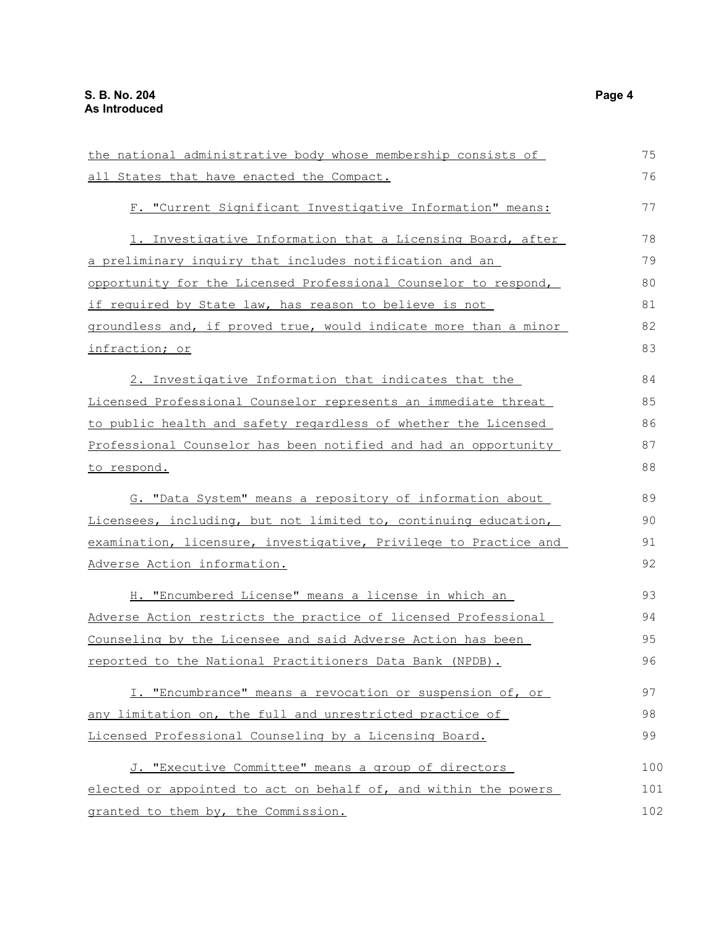the national administrative body whose membership consists of all States that have enacted the Compact. F. "Current Significant Investigative Information" means: 1. Investigative Information that a Licensing Board, after a preliminary inquiry that includes notification and an opportunity for the Licensed Professional Counselor to respond, if required by State law, has reason to believe is not groundless and, if proved true, would indicate more than a minor infraction; or 2. Investigative Information that indicates that the Licensed Professional Counselor represents an immediate threat to public health and safety regardless of whether the Licensed Professional Counselor has been notified and had an opportunity to respond. G. "Data System" means a repository of information about Licensees, including, but not limited to, continuing education, examination, licensure, investigative, Privilege to Practice and Adverse Action information. H. "Encumbered License" means a license in which an Adverse Action restricts the practice of licensed Professional Counseling by the Licensee and said Adverse Action has been reported to the National Practitioners Data Bank (NPDB). I. "Encumbrance" means a revocation or suspension of, or any limitation on, the full and unrestricted practice of Licensed Professional Counseling by a Licensing Board. J. "Executive Committee" means a group of directors elected or appointed to act on behalf of, and within the powers granted to them by, the Commission. 75 76 77 78 79 80 81 82 83 84 85 86 87 88 89 90 91 92 93 94 95 96 97 98 99 100 101 102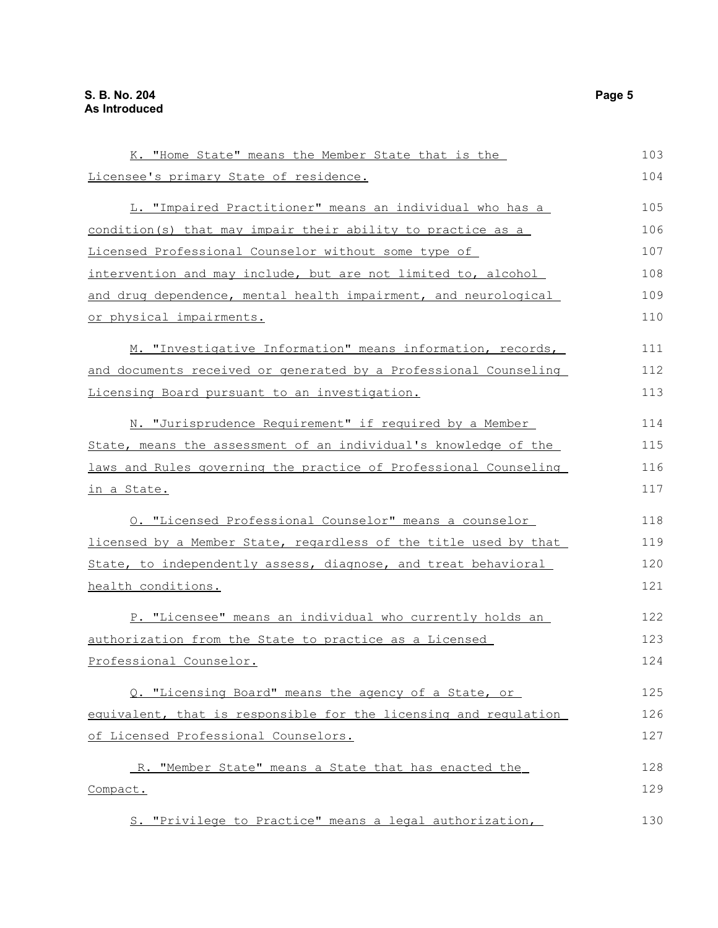| K. "Home State" means the Member State that is the                   | 103 |
|----------------------------------------------------------------------|-----|
| Licensee's primary State of residence.                               | 104 |
| L. "Impaired Practitioner" means an individual who has a             | 105 |
| condition(s) that may impair their ability to practice as a          | 106 |
| Licensed Professional Counselor without some type of                 | 107 |
| <u>intervention and may include, but are not limited to, alcohol</u> | 108 |
| and drug dependence, mental health impairment, and neurological      | 109 |
| or physical impairments.                                             | 110 |
| M. "Investigative Information" means information, records,           | 111 |
| and documents received or generated by a Professional Counseling     | 112 |
| Licensing Board pursuant to an investigation.                        | 113 |
| N. "Jurisprudence Requirement" if required by a Member               | 114 |
| State, means the assessment of an individual's knowledge of the      | 115 |
| laws and Rules governing the practice of Professional Counseling     | 116 |
| in a State.                                                          | 117 |
| O. "Licensed Professional Counselor" means a counselor               | 118 |
| licensed by a Member State, regardless of the title used by that     | 119 |
| State, to independently assess, diagnose, and treat behavioral       | 120 |
| health conditions.                                                   | 121 |
| P. "Licensee" means an individual who currently holds an             | 122 |
| authorization from the State to practice as a Licensed               | 123 |
| Professional Counselor.                                              | 124 |
| Q. "Licensing Board" means the agency of a State, or                 | 125 |
| equivalent, that is responsible for the licensing and requlation     | 126 |
| of Licensed Professional Counselors.                                 | 127 |
| R. "Member State" means a State that has enacted the                 | 128 |
| Compact.                                                             | 129 |
| S. "Privilege to Practice" means a legal authorization,              | 130 |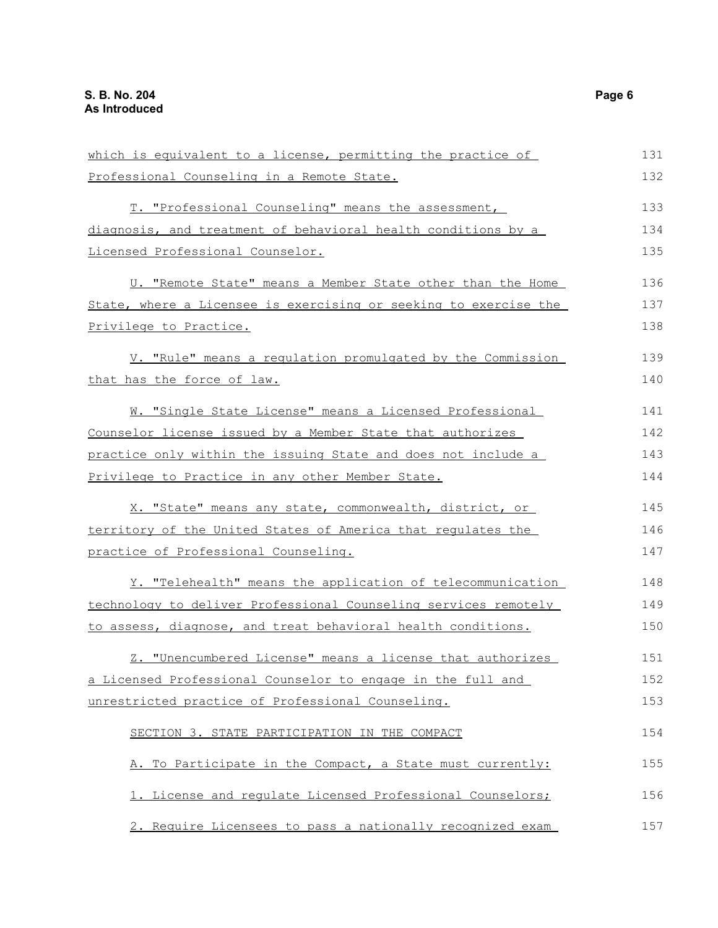| which is equivalent to a license, permitting the practice of          | 131 |
|-----------------------------------------------------------------------|-----|
| Professional Counseling in a Remote State.                            | 132 |
| T. "Professional Counseling" means the assessment,                    | 133 |
| diagnosis, and treatment of behavioral health conditions by a         | 134 |
| Licensed Professional Counselor.                                      | 135 |
| U. "Remote State" means a Member State other than the Home            | 136 |
| State, where a Licensee is exercising or seeking to exercise the      | 137 |
| <u>Privilege to Practice.</u>                                         | 138 |
| V. "Rule" means a regulation promulgated by the Commission            | 139 |
| that has the force of law.                                            | 140 |
| W. "Single State License" means a Licensed Professional               | 141 |
| Counselor license issued by a Member State that authorizes            | 142 |
| <u>practice only within the issuing State and does not include a </u> | 143 |
| Privilege to Practice in any other Member State.                      | 144 |
| X. "State" means any state, commonwealth, district, or                | 145 |
| territory of the United States of America that regulates the          | 146 |
| <u>practice of Professional Counseling.</u>                           | 147 |
| Y. "Telehealth" means the application of telecommunication            | 148 |
| technology to deliver Professional Counseling services remotely       | 149 |
| to assess, diagnose, and treat behavioral health conditions.          | 150 |
| Z. "Unencumbered License" means a license that authorizes             | 151 |
| a Licensed Professional Counselor to engage in the full and           | 152 |
| unrestricted practice of Professional Counseling.                     | 153 |
| SECTION 3. STATE PARTICIPATION IN THE COMPACT                         | 154 |
| A. To Participate in the Compact, a State must currently:             | 155 |
| 1. License and requlate Licensed Professional Counselors;             | 156 |
| 2. Require Licensees to pass a nationally recognized exam             | 157 |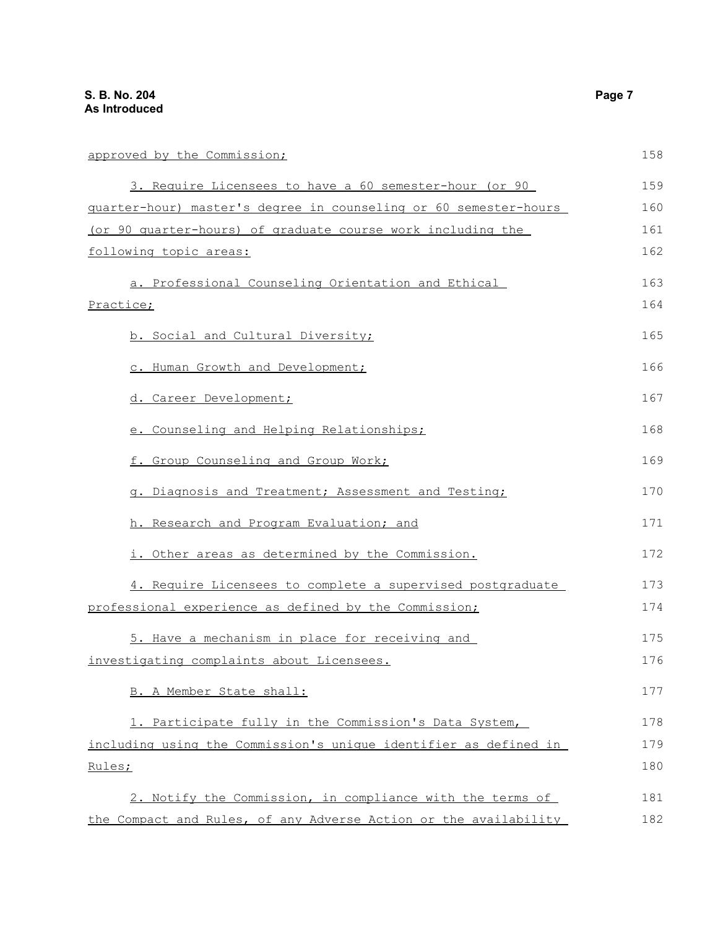| approved by the Commission;                                      | 158 |
|------------------------------------------------------------------|-----|
| 3. Require Licensees to have a 60 semester-hour (or 90           | 159 |
| guarter-hour) master's degree in counseling or 60 semester-hours | 160 |
| (or 90 quarter-hours) of graduate course work including the      | 161 |
| following topic areas:                                           | 162 |
| a. Professional Counseling Orientation and Ethical               | 163 |
| Practice;                                                        | 164 |
| b. Social and Cultural Diversity;                                | 165 |
| c. Human Growth and Development;                                 | 166 |
| d. Career Development;                                           | 167 |
| e. Counseling and Helping Relationships;                         | 168 |
| f. Group Counseling and Group Work;                              | 169 |
| g. Diagnosis and Treatment; Assessment and Testing;              | 170 |
| h. Research and Program Evaluation; and                          | 171 |
| i. Other areas as determined by the Commission.                  | 172 |
| 4. Require Licensees to complete a supervised postgraduate       | 173 |
| professional experience as defined by the Commission;            | 174 |
| 5. Have a mechanism in place for receiving and                   | 175 |
| investigating complaints about Licensees.                        | 176 |
| B. A Member State shall:                                         | 177 |
| 1. Participate fully in the Commission's Data System,            | 178 |
| including using the Commission's unique identifier as defined in | 179 |
| Rules;                                                           | 180 |
| 2. Notify the Commission, in compliance with the terms of        | 181 |
| the Compact and Rules, of any Adverse Action or the availability | 182 |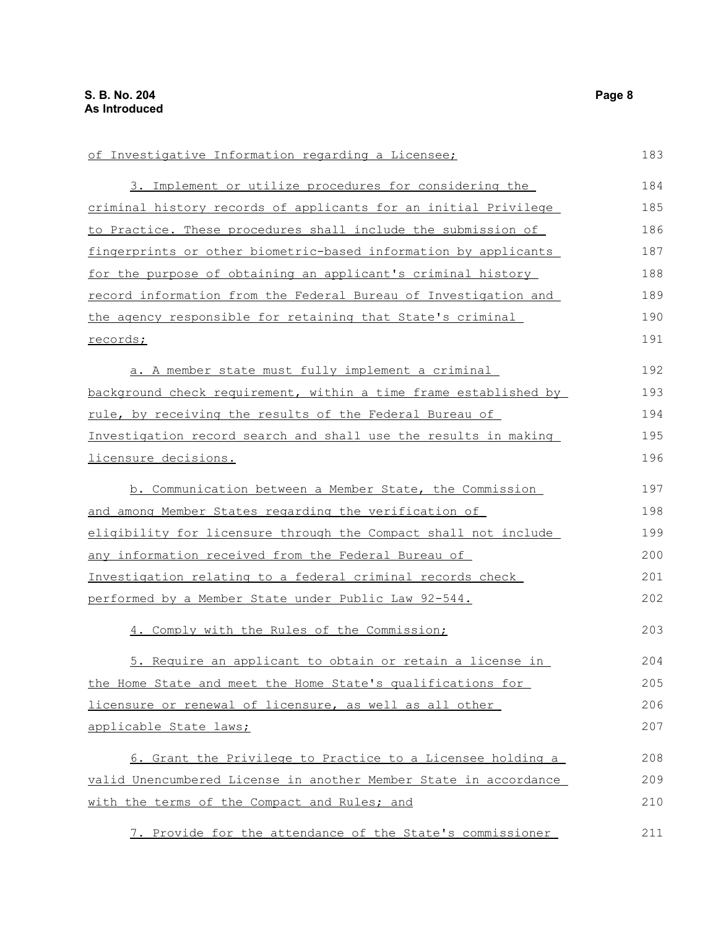of Investigative Information regarding a Licensee; 3. Implement or utilize procedures for considering the criminal history records of applicants for an initial Privilege to Practice. These procedures shall include the submission of fingerprints or other biometric-based information by applicants for the purpose of obtaining an applicant's criminal history record information from the Federal Bureau of Investigation and the agency responsible for retaining that State's criminal records; a. A member state must fully implement a criminal background check requirement, within a time frame established by rule, by receiving the results of the Federal Bureau of Investigation record search and shall use the results in making licensure decisions. b. Communication between a Member State, the Commission and among Member States regarding the verification of eligibility for licensure through the Compact shall not include any information received from the Federal Bureau of Investigation relating to a federal criminal records check performed by a Member State under Public Law 92-544. 4. Comply with the Rules of the Commission; 5. Require an applicant to obtain or retain a license in the Home State and meet the Home State's qualifications for licensure or renewal of licensure, as well as all other applicable State laws; 6. Grant the Privilege to Practice to a Licensee holding a valid Unencumbered License in another Member State in accordance with the terms of the Compact and Rules; and 7. Provide for the attendance of the State's commissioner 183 184 185 186 187 188 189 190 191 192 193 194 195 196 197 198 199 200 201 202 203 204 205 206 207 208 209 210 211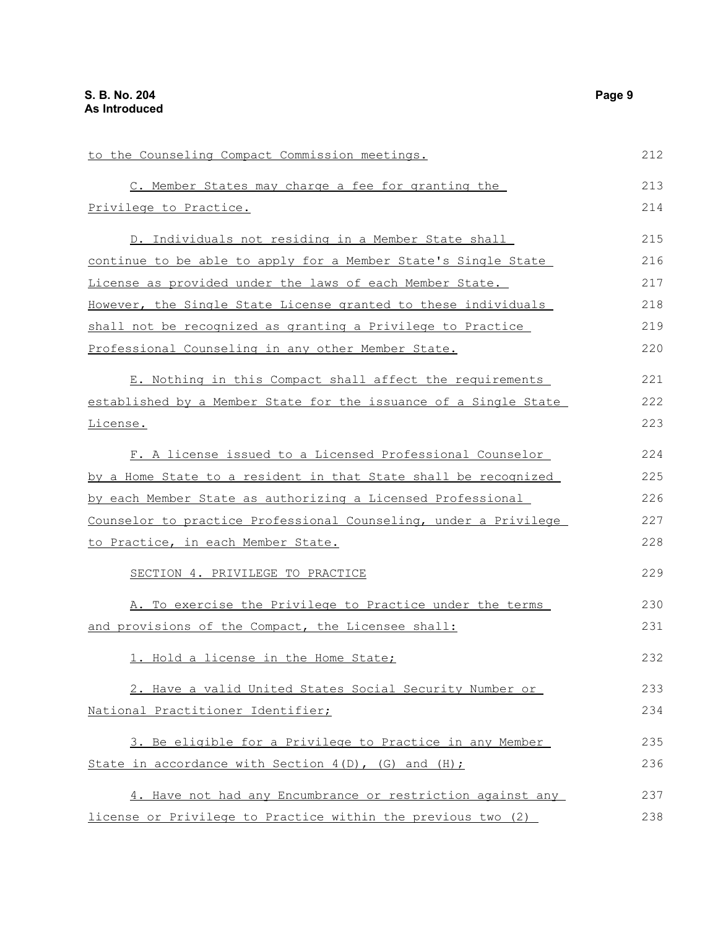| to the Counseling Compact Commission meetings.                   | 212 |
|------------------------------------------------------------------|-----|
| C. Member States may charge a fee for granting the               | 213 |
| Privilege to Practice.                                           | 214 |
| D. Individuals not residing in a Member State shall              | 215 |
| continue to be able to apply for a Member State's Single State   | 216 |
| License as provided under the laws of each Member State.         | 217 |
| However, the Single State License granted to these individuals   | 218 |
| shall not be recognized as granting a Privilege to Practice      | 219 |
| Professional Counseling in any other Member State.               | 220 |
| E. Nothing in this Compact shall affect the requirements         | 221 |
| established by a Member State for the issuance of a Single State | 222 |
| License.                                                         | 223 |
| F. A license issued to a Licensed Professional Counselor         | 224 |
| by a Home State to a resident in that State shall be recognized  | 225 |
| by each Member State as authorizing a Licensed Professional      | 226 |
| Counselor to practice Professional Counseling, under a Privilege | 227 |
| to Practice, in each Member State.                               | 228 |
| SECTION 4. PRIVILEGE TO PRACTICE                                 | 229 |
| A. To exercise the Privilege to Practice under the terms         | 230 |
| and provisions of the Compact, the Licensee shall:               | 231 |
| 1. Hold a license in the Home State;                             | 232 |
| 2. Have a valid United States Social Security Number or          | 233 |
| National Practitioner Identifier;                                | 234 |
| 3. Be eligible for a Privilege to Practice in any Member         | 235 |
| State in accordance with Section $4(D)$ , (G) and $(H)$ ;        | 236 |
| 4. Have not had any Encumbrance or restriction against any       | 237 |
| license or Privilege to Practice within the previous two (2)     | 238 |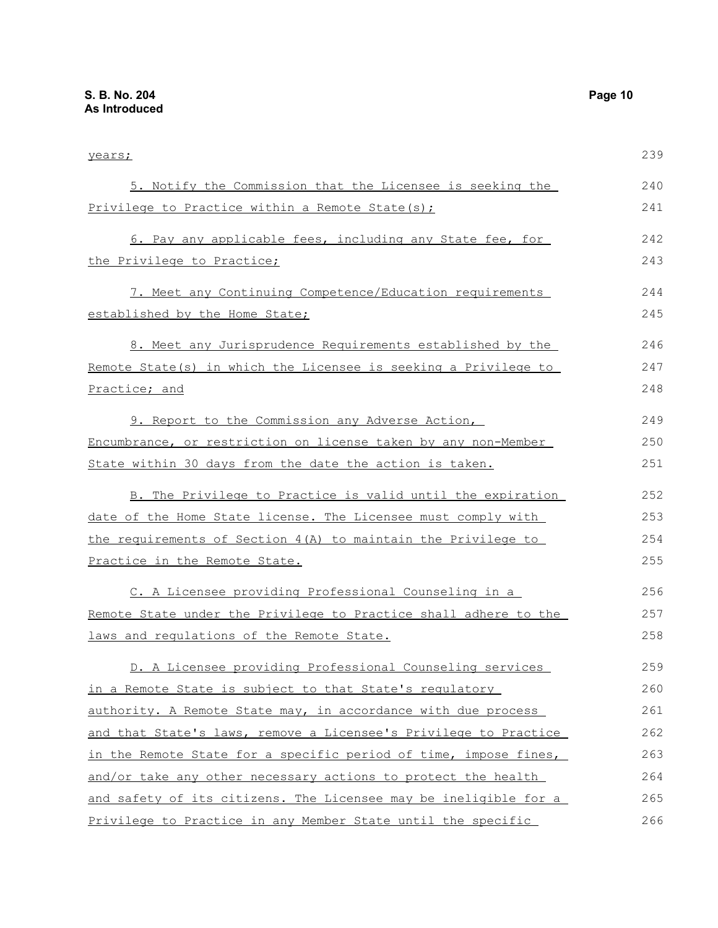years; 5. Notify the Commission that the Licensee is seeking the Privilege to Practice within a Remote State(s); 6. Pay any applicable fees, including any State fee, for the Privilege to Practice; 7. Meet any Continuing Competence/Education requirements established by the Home State; 8. Meet any Jurisprudence Requirements established by the Remote State(s) in which the Licensee is seeking a Privilege to Practice; and 9. Report to the Commission any Adverse Action, Encumbrance, or restriction on license taken by any non-Member State within 30 days from the date the action is taken. B. The Privilege to Practice is valid until the expiration date of the Home State license. The Licensee must comply with the requirements of Section 4(A) to maintain the Privilege to Practice in the Remote State. C. A Licensee providing Professional Counseling in a Remote State under the Privilege to Practice shall adhere to the laws and regulations of the Remote State. D. A Licensee providing Professional Counseling services in a Remote State is subject to that State's regulatory authority. A Remote State may, in accordance with due process and that State's laws, remove a Licensee's Privilege to Practice in the Remote State for a specific period of time, impose fines, and/or take any other necessary actions to protect the health and safety of its citizens. The Licensee may be ineligible for a Privilege to Practice in any Member State until the specific 239 240 241 242 243 244 245 246 247 248 249 250 251 252 253 254 255 256 257 258 259 260 261 262 263 264 265 266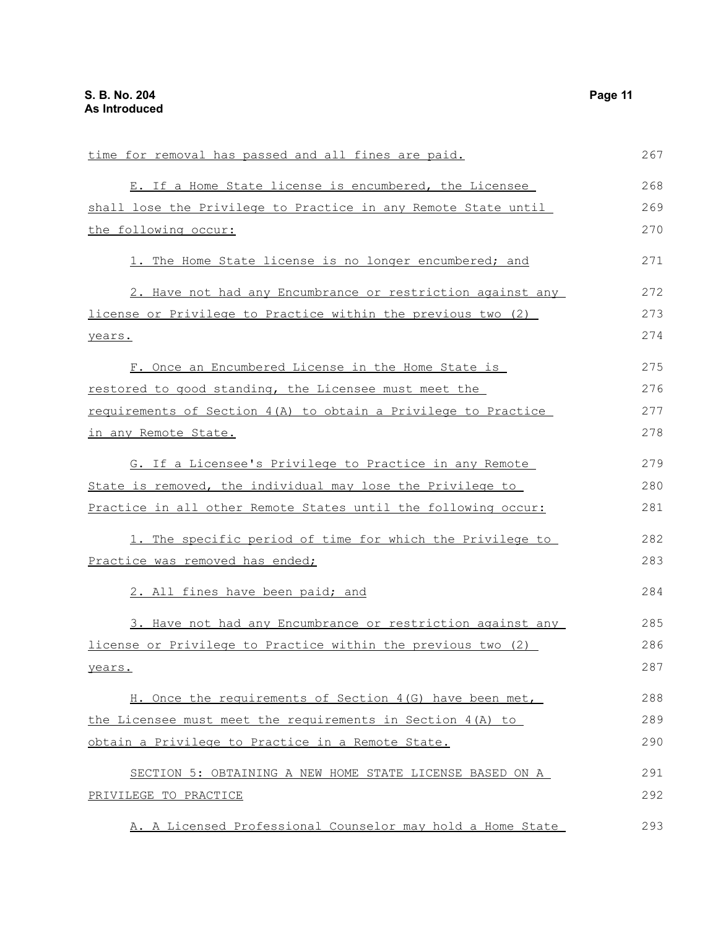| time for removal has passed and all fines are paid.            | 267 |
|----------------------------------------------------------------|-----|
| E. If a Home State license is encumbered, the Licensee         | 268 |
| shall lose the Privilege to Practice in any Remote State until | 269 |
| the following occur:                                           | 270 |
| 1. The Home State license is no longer encumbered; and         | 271 |
| 2. Have not had any Encumbrance or restriction against any     | 272 |
| license or Privilege to Practice within the previous two (2)   | 273 |
| years.                                                         | 274 |
| F. Once an Encumbered License in the Home State is             | 275 |
| restored to good standing, the Licensee must meet the          | 276 |
| requirements of Section 4(A) to obtain a Privilege to Practice | 277 |
| in any Remote State.                                           | 278 |
| G. If a Licensee's Privilege to Practice in any Remote         | 279 |
| State is removed, the individual may lose the Privilege to     | 280 |
| Practice in all other Remote States until the following occur: | 281 |
| 1. The specific period of time for which the Privilege to      | 282 |
| Practice was removed has ended;                                | 283 |
| 2. All fines have been paid; and                               | 284 |
| 3. Have not had any Encumbrance or restriction against any     | 285 |
| license or Privilege to Practice within the previous two (2)   | 286 |
| years.                                                         | 287 |
| H. Once the requirements of Section 4(G) have been met,        | 288 |
| the Licensee must meet the requirements in Section 4(A) to     | 289 |
| obtain a Privilege to Practice in a Remote State.              | 290 |
| SECTION 5: OBTAINING A NEW HOME STATE LICENSE BASED ON A       | 291 |
| PRIVILEGE TO PRACTICE                                          | 292 |
| A. A Licensed Professional Counselor may hold a Home State     | 293 |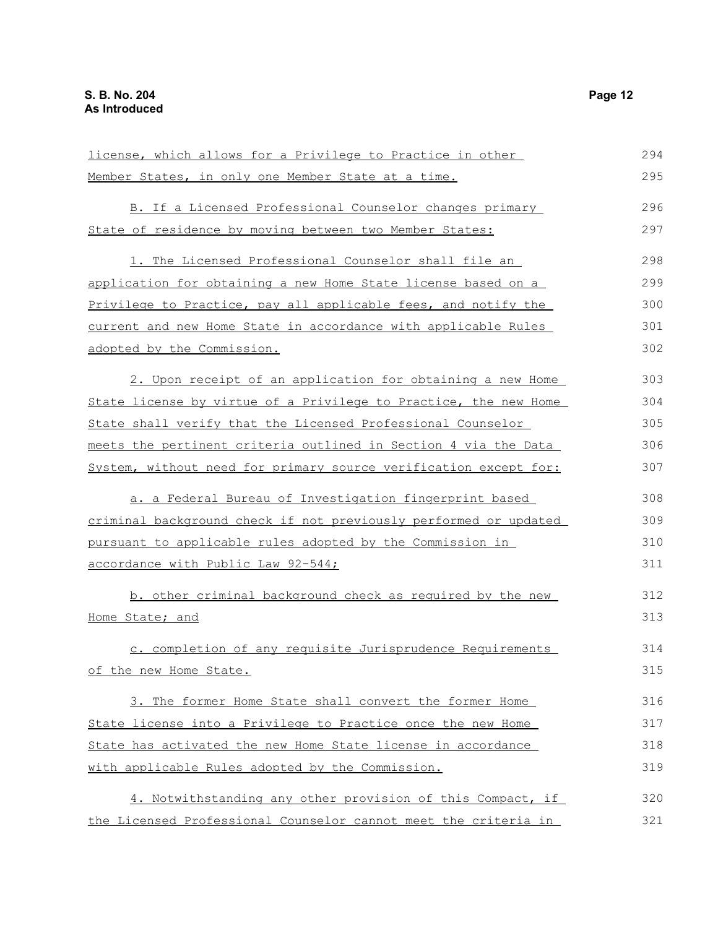| license, which allows for a Privilege to Practice in other       | 294 |
|------------------------------------------------------------------|-----|
| Member States, in only one Member State at a time.               | 295 |
| B. If a Licensed Professional Counselor changes primary          | 296 |
| State of residence by moving between two Member States:          | 297 |
|                                                                  |     |
| 1. The Licensed Professional Counselor shall file an             | 298 |
| application for obtaining a new Home State license based on a    | 299 |
| Privilege to Practice, pay all applicable fees, and notify the   | 300 |
| current and new Home State in accordance with applicable Rules   | 301 |
| adopted by the Commission.                                       | 302 |
| 2. Upon receipt of an application for obtaining a new Home       | 303 |
| State license by virtue of a Privilege to Practice, the new Home | 304 |
| State shall verify that the Licensed Professional Counselor      | 305 |
| meets the pertinent criteria outlined in Section 4 via the Data  | 306 |
|                                                                  |     |
| System, without need for primary source verification except for: | 307 |
| a. a Federal Bureau of Investigation fingerprint based           | 308 |
| criminal background check if not previously performed or updated | 309 |
| pursuant to applicable rules adopted by the Commission in        | 310 |
| accordance with Public Law 92-544;                               | 311 |
| b. other criminal background check as required by the new        | 312 |
|                                                                  |     |
| Home State; and                                                  | 313 |
| c. completion of any requisite Jurisprudence Requirements        | 314 |
| of the new Home State.                                           | 315 |
| 3. The former Home State shall convert the former Home           | 316 |
| State license into a Privilege to Practice once the new Home     | 317 |
| State has activated the new Home State license in accordance     | 318 |
| with applicable Rules adopted by the Commission.                 | 319 |
|                                                                  |     |
| 4. Notwithstanding any other provision of this Compact, if       | 320 |
| the Licensed Professional Counselor cannot meet the criteria in  | 321 |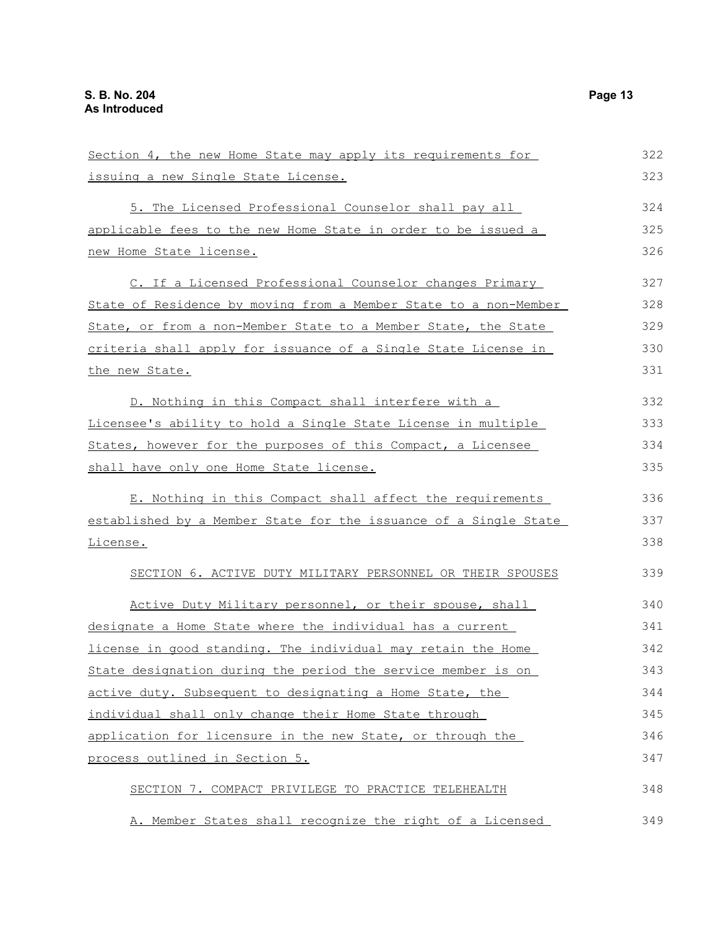| Section 4, the new Home State may apply its requirements for     | 322 |
|------------------------------------------------------------------|-----|
| issuing a new Single State License.                              | 323 |
| 5. The Licensed Professional Counselor shall pay all             | 324 |
| applicable fees to the new Home State in order to be issued a    | 325 |
| new Home State license.                                          | 326 |
| C. If a Licensed Professional Counselor changes Primary          | 327 |
| State of Residence by moving from a Member State to a non-Member | 328 |
| State, or from a non-Member State to a Member State, the State   | 329 |
| criteria shall apply for issuance of a Single State License in   | 330 |
| the new State.                                                   | 331 |
| D. Nothing in this Compact shall interfere with a                | 332 |
| Licensee's ability to hold a Single State License in multiple    | 333 |
| States, however for the purposes of this Compact, a Licensee     | 334 |
| shall have only one Home State license.                          | 335 |
| E. Nothing in this Compact shall affect the requirements         | 336 |
| established by a Member State for the issuance of a Single State | 337 |
| License.                                                         | 338 |
| SECTION 6. ACTIVE DUTY MILITARY PERSONNEL OR THEIR SPOUSES       | 339 |
| Active Duty Military personnel, or their spouse, shall           | 340 |
| designate a Home State where the individual has a current        | 341 |
| license in good standing. The individual may retain the Home     | 342 |
| State designation during the period the service member is on     | 343 |
| active duty. Subsequent to designating a Home State, the         | 344 |
| individual shall only change their Home State through            | 345 |
| application for licensure in the new State, or through the       | 346 |
| process outlined in Section 5.                                   | 347 |
| SECTION 7. COMPACT PRIVILEGE TO PRACTICE TELEHEALTH              | 348 |
| A. Member States shall recognize the right of a Licensed         | 349 |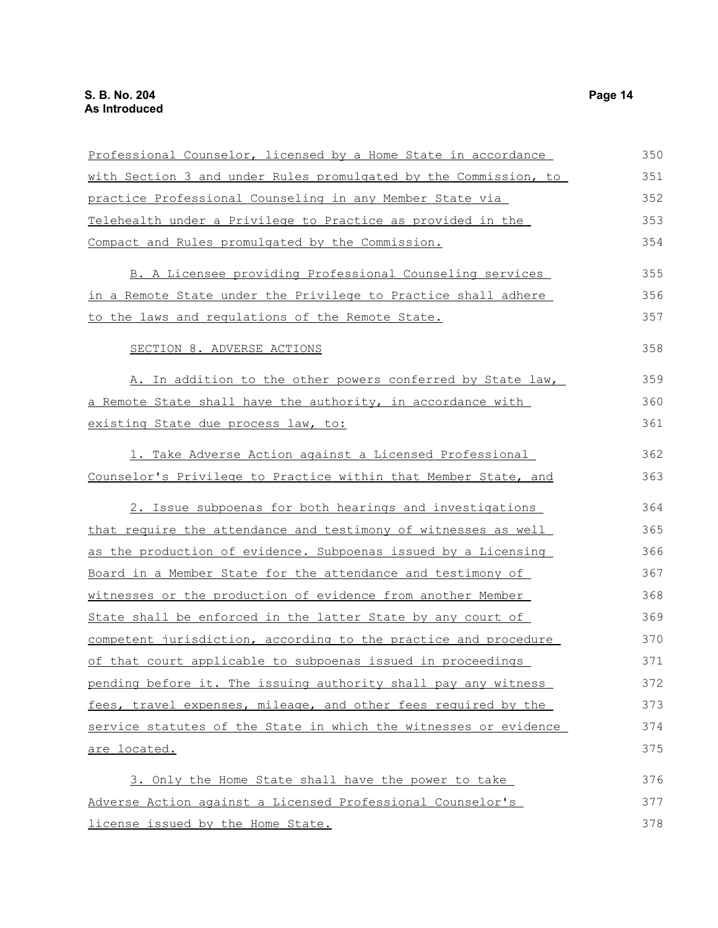| Professional Counselor, licensed by a Home State in accordance     | 350 |
|--------------------------------------------------------------------|-----|
| with Section 3 and under Rules promulgated by the Commission, to   | 351 |
| practice Professional Counseling in any Member State via           | 352 |
| Telehealth under a Privilege to Practice as provided in the        | 353 |
| Compact and Rules promulgated by the Commission.                   | 354 |
| B. A Licensee providing Professional Counseling services           | 355 |
| in a Remote State under the Privilege to Practice shall adhere     | 356 |
| to the laws and regulations of the Remote State.                   | 357 |
| SECTION 8. ADVERSE ACTIONS                                         | 358 |
| A. In addition to the other powers conferred by State law,         | 359 |
| a Remote State shall have the authority, in accordance with        | 360 |
| existing State due process law, to:                                | 361 |
| 1. Take Adverse Action against a Licensed Professional             | 362 |
| Counselor's Privilege to Practice within that Member State, and    | 363 |
| 2. Issue subpoenas for both hearings and investigations            | 364 |
| that require the attendance and testimony of witnesses as well     | 365 |
| as the production of evidence. Subpoenas issued by a Licensing     | 366 |
| <u>Board in a Member State for the attendance and testimony of</u> | 367 |
| witnesses or the production of evidence from another Member        | 368 |
| State shall be enforced in the latter State by any court of        | 369 |
| competent jurisdiction, according to the practice and procedure    | 370 |
| of that court applicable to subpoenas issued in proceedings        | 371 |
| pending before it. The issuing authority shall pay any witness     | 372 |
| fees, travel expenses, mileage, and other fees required by the     | 373 |
| service statutes of the State in which the witnesses or evidence   | 374 |
| are located.                                                       | 375 |
| 3. Only the Home State shall have the power to take                | 376 |
| Adverse Action against a Licensed Professional Counselor's         | 377 |
| license issued by the Home State.                                  | 378 |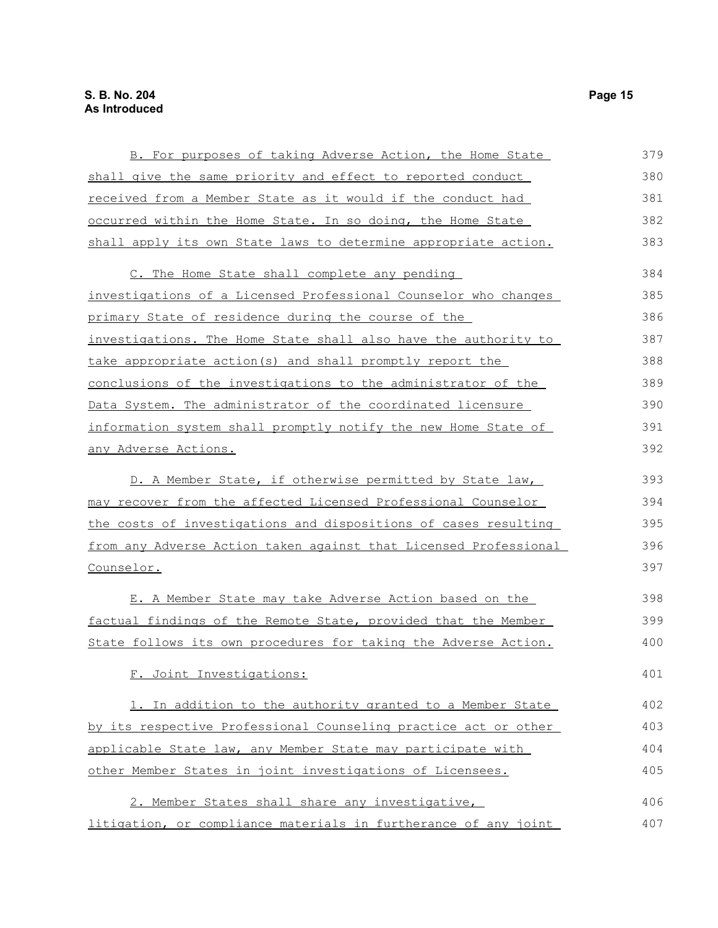| B. For purposes of taking Adverse Action, the Home State         | 379 |
|------------------------------------------------------------------|-----|
| shall give the same priority and effect to reported conduct      | 380 |
| received from a Member State as it would if the conduct had      | 381 |
| occurred within the Home State. In so doing, the Home State      | 382 |
| shall apply its own State laws to determine appropriate action.  | 383 |
| C. The Home State shall complete any pending                     | 384 |
| investigations of a Licensed Professional Counselor who changes  | 385 |
| primary State of residence during the course of the              | 386 |
| investigations. The Home State shall also have the authority to  | 387 |
| take appropriate action (s) and shall promptly report the        | 388 |
| conclusions of the investigations to the administrator of the    | 389 |
| Data System. The administrator of the coordinated licensure      | 390 |
| information system shall promptly notify the new Home State of   | 391 |
| any Adverse Actions.                                             | 392 |
| D. A Member State, if otherwise permitted by State law,          | 393 |
| may recover from the affected Licensed Professional Counselor    | 394 |
| the costs of investigations and dispositions of cases resulting  | 395 |
| from any Adverse Action taken against that Licensed Professional | 396 |
| Counselor.                                                       | 397 |
| E. A Member State may take Adverse Action based on the           | 398 |
| factual findings of the Remote State, provided that the Member   | 399 |
| State follows its own procedures for taking the Adverse Action.  | 400 |
| F. Joint Investigations:                                         | 401 |
| 1. In addition to the authority granted to a Member State        | 402 |
| by its respective Professional Counseling practice act or other  | 403 |
| applicable State law, any Member State may participate with      | 404 |
| other Member States in joint investigations of Licensees.        | 405 |
| 2. Member States shall share any investigative,                  | 406 |
| litigation, or compliance materials in furtherance of any joint  | 407 |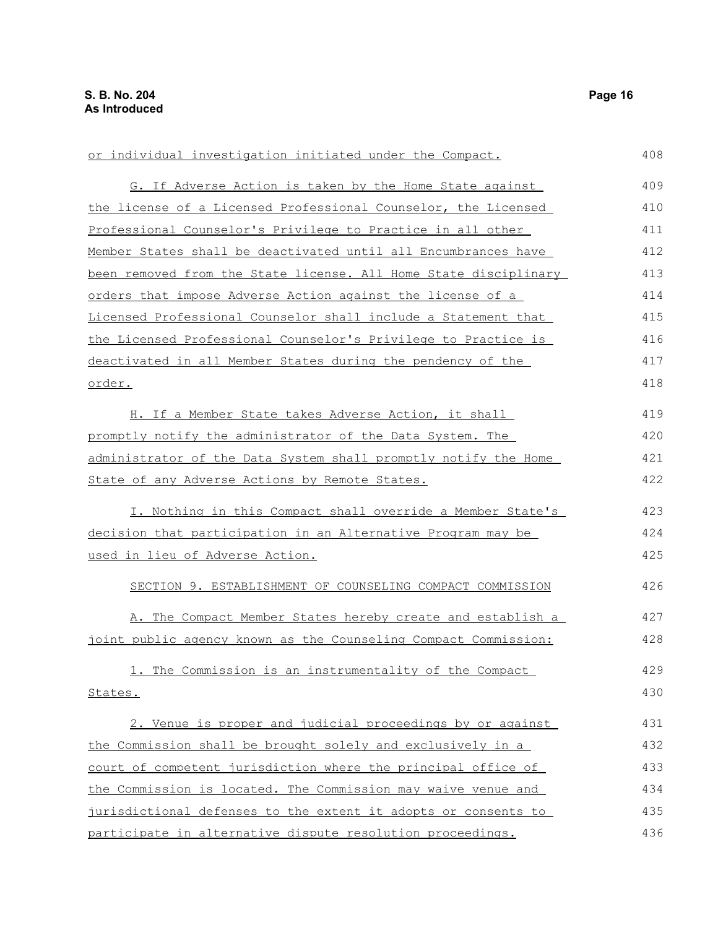| or individual investigation initiated under the Compact.         | 408 |
|------------------------------------------------------------------|-----|
| G. If Adverse Action is taken by the Home State against          | 409 |
| the license of a Licensed Professional Counselor, the Licensed   | 410 |
| Professional Counselor's Privilege to Practice in all other      | 411 |
| Member States shall be deactivated until all Encumbrances have   | 412 |
| been removed from the State license. All Home State disciplinary | 413 |
| orders that impose Adverse Action against the license of a       | 414 |
| Licensed Professional Counselor shall include a Statement that   | 415 |
| the Licensed Professional Counselor's Privilege to Practice is   | 416 |
| deactivated in all Member States during the pendency of the      | 417 |
| order.                                                           | 418 |
| H. If a Member State takes Adverse Action, it shall              | 419 |
| promptly notify the administrator of the Data System. The        | 420 |
| administrator of the Data System shall promptly notify the Home  | 421 |
| State of any Adverse Actions by Remote States.                   | 422 |
| I. Nothing in this Compact shall override a Member State's       | 423 |
| decision that participation in an Alternative Program may be     | 424 |
| used in lieu of Adverse Action.                                  | 425 |
| SECTION 9. ESTABLISHMENT OF COUNSELING COMPACT COMMISSION        | 426 |
| A. The Compact Member States hereby create and establish a       | 427 |
| joint public agency known as the Counseling Compact Commission:  | 428 |
| The Commission is an instrumentality of the Compact<br><u>1.</u> | 429 |
| States.                                                          | 430 |
| 2. Venue is proper and judicial proceedings by or against        | 431 |
| the Commission shall be brought solely and exclusively in a      | 432 |
| court of competent jurisdiction where the principal office of    | 433 |
| the Commission is located. The Commission may waive venue and    | 434 |
| jurisdictional defenses to the extent it adopts or consents to   | 435 |
| participate in alternative dispute resolution proceedings.       | 436 |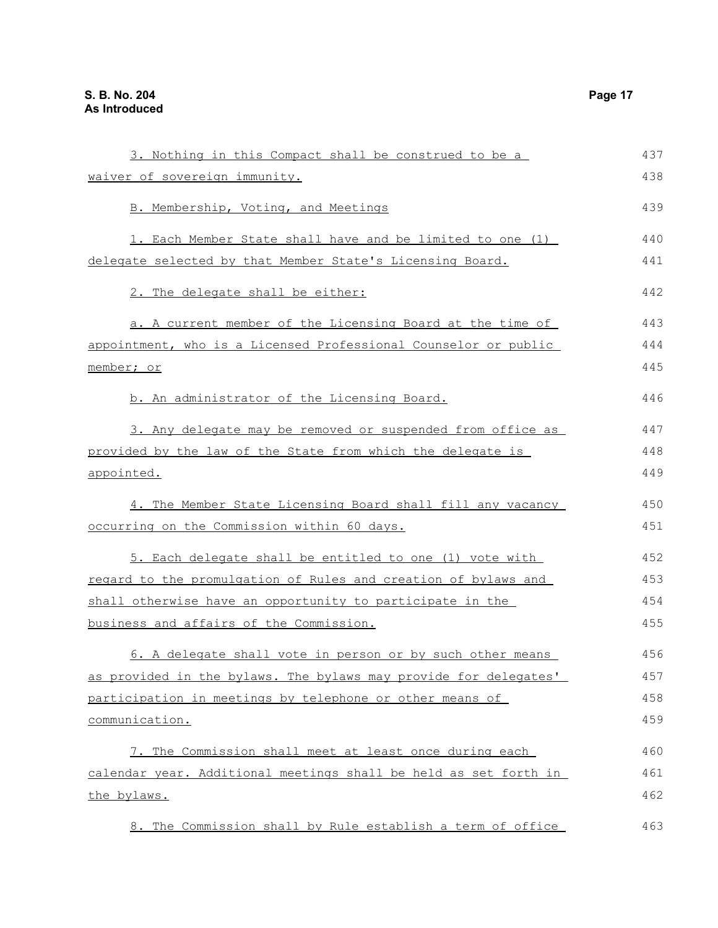| 3. Nothing in this Compact shall be construed to be a            | 437 |
|------------------------------------------------------------------|-----|
| <u>waiver of sovereign immunity.</u>                             | 438 |
| B. Membership, Voting, and Meetings                              | 439 |
| 1. Each Member State shall have and be limited to one (1)        | 440 |
| delegate selected by that Member State's Licensing Board.        | 441 |
| 2. The delegate shall be either:                                 | 442 |
| a. A current member of the Licensing Board at the time of        | 443 |
| appointment, who is a Licensed Professional Counselor or public  | 444 |
| <u>member; or</u>                                                | 445 |
| b. An administrator of the Licensing Board.                      | 446 |
| 3. Any delegate may be removed or suspended from office as       | 447 |
| provided by the law of the State from which the delegate is      | 448 |
| <u>appointed.</u>                                                | 449 |
| 4. The Member State Licensing Board shall fill any vacancy       | 450 |
| occurring on the Commission within 60 days.                      | 451 |
| 5. Each delegate shall be entitled to one (1) vote with          | 452 |
| regard to the promulgation of Rules and creation of bylaws and   | 453 |
| shall otherwise have an opportunity to participate in the        | 454 |
| <u>business and affairs of the Commission.</u>                   | 455 |
| 6. A delegate shall vote in person or by such other means        | 456 |
| as provided in the bylaws. The bylaws may provide for delegates' | 457 |
| participation in meetings by telephone or other means of         | 458 |
| communication.                                                   | 459 |
| 7. The Commission shall meet at least once during each           | 460 |
| calendar year. Additional meetings shall be held as set forth in | 461 |
| the bylaws.                                                      | 462 |
| 8. The Commission shall by Rule establish a term of office       | 463 |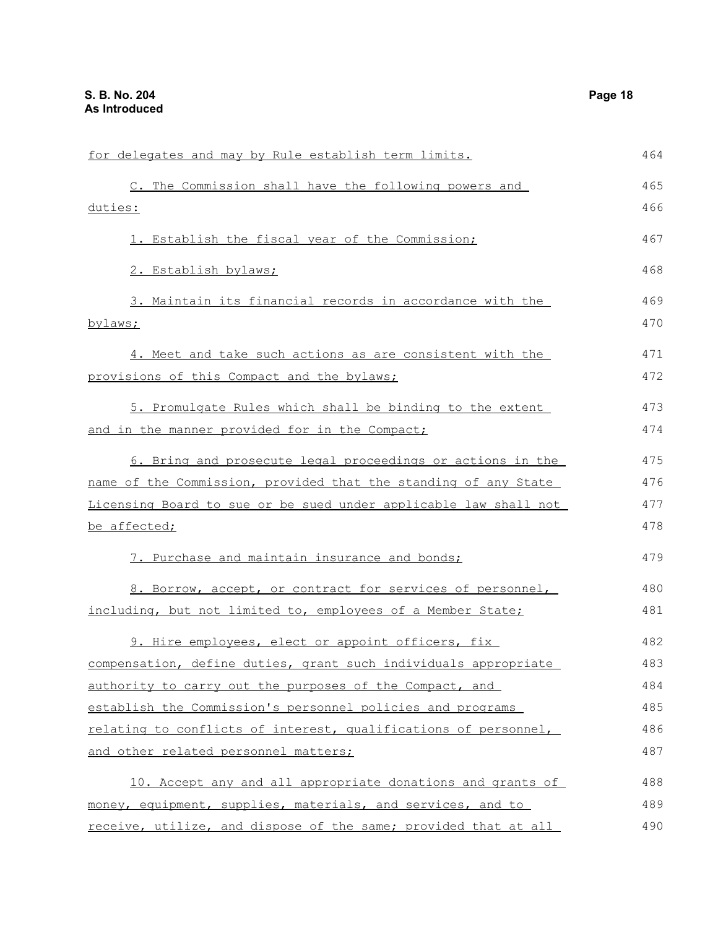| for delegates and may by Rule establish term limits.             | 464 |
|------------------------------------------------------------------|-----|
| C. The Commission shall have the following powers and            | 465 |
| duties:                                                          | 466 |
| 1. Establish the fiscal year of the Commission;                  | 467 |
| 2. Establish bylaws;                                             | 468 |
| 3. Maintain its financial records in accordance with the         | 469 |
| bylaws;                                                          | 470 |
| 4. Meet and take such actions as are consistent with the         | 471 |
| provisions of this Compact and the bylaws;                       | 472 |
| 5. Promulgate Rules which shall be binding to the extent         | 473 |
| and in the manner provided for in the Compact;                   | 474 |
| 6. Bring and prosecute legal proceedings or actions in the       | 475 |
| name of the Commission, provided that the standing of any State  | 476 |
| Licensing Board to sue or be sued under applicable law shall not | 477 |
| be affected;                                                     | 478 |
| 7. Purchase and maintain insurance and bonds;                    | 479 |
| 8. Borrow, accept, or contract for services of personnel,        | 480 |
| including, but not limited to, employees of a Member State;      | 481 |
| 9. Hire employees, elect or appoint officers, fix                | 482 |
| compensation, define duties, grant such individuals appropriate  | 483 |
| authority to carry out the purposes of the Compact, and          | 484 |
| establish the Commission's personnel policies and programs       | 485 |
| relating to conflicts of interest, qualifications of personnel,  | 486 |
| and other related personnel matters;                             | 487 |
| 10. Accept any and all appropriate donations and grants of       | 488 |
| money, equipment, supplies, materials, and services, and to      | 489 |
| receive, utilize, and dispose of the same; provided that at all  | 490 |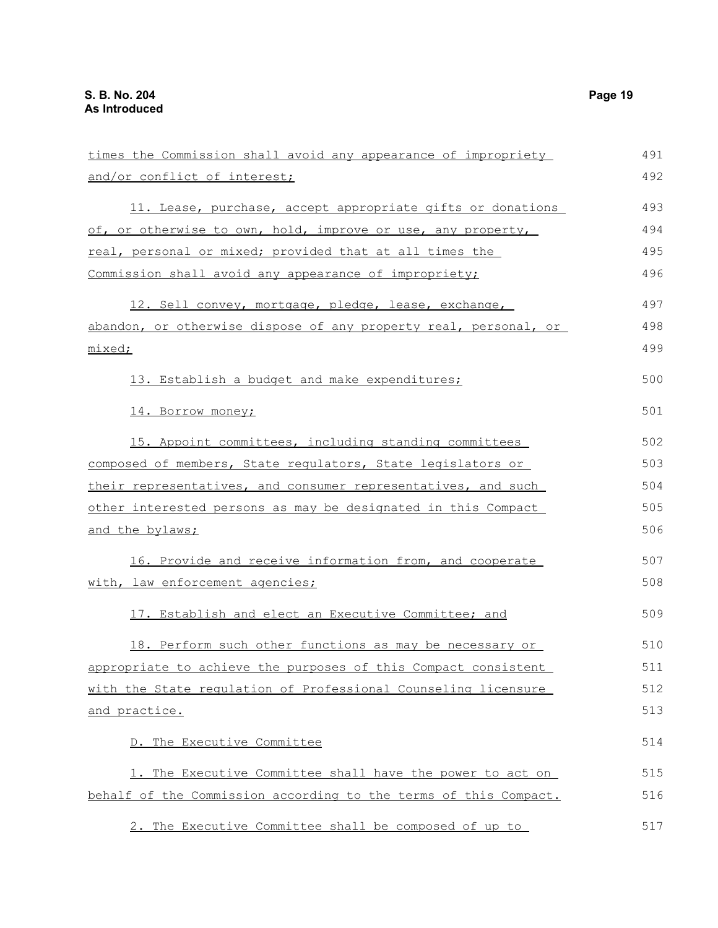| times the Commission shall avoid any appearance of impropriety   | 491 |
|------------------------------------------------------------------|-----|
| and/or conflict of interest;                                     | 492 |
| 11. Lease, purchase, accept appropriate gifts or donations       | 493 |
| of, or otherwise to own, hold, improve or use, any property,     | 494 |
| real, personal or mixed; provided that at all times the          | 495 |
| Commission shall avoid any appearance of impropriety;            | 496 |
| 12. Sell convey, mortgage, pledge, lease, exchange,              | 497 |
| abandon, or otherwise dispose of any property real, personal, or | 498 |
| mixed;                                                           | 499 |
| 13. Establish a budget and make expenditures;                    | 500 |
| 14. Borrow money;                                                | 501 |
| 15. Appoint committees, including standing committees            | 502 |
| composed of members, State requlators, State legislators or      | 503 |
| their representatives, and consumer representatives, and such    | 504 |
| other interested persons as may be designated in this Compact    | 505 |
| and the bylaws;                                                  | 506 |
| 16. Provide and receive information from, and cooperate          | 507 |
| with, law enforcement agencies;                                  | 508 |
| 17. Establish and elect an Executive Committee; and              | 509 |
| 18. Perform such other functions as may be necessary or          | 510 |
| appropriate to achieve the purposes of this Compact consistent   | 511 |
| with the State regulation of Professional Counseling licensure   | 512 |
| <u>and practice.</u>                                             | 513 |
| D. The Executive Committee                                       | 514 |
| 1. The Executive Committee shall have the power to act on        | 515 |
| behalf of the Commission according to the terms of this Compact. | 516 |
| 2. The Executive Committee shall be composed of up to            | 517 |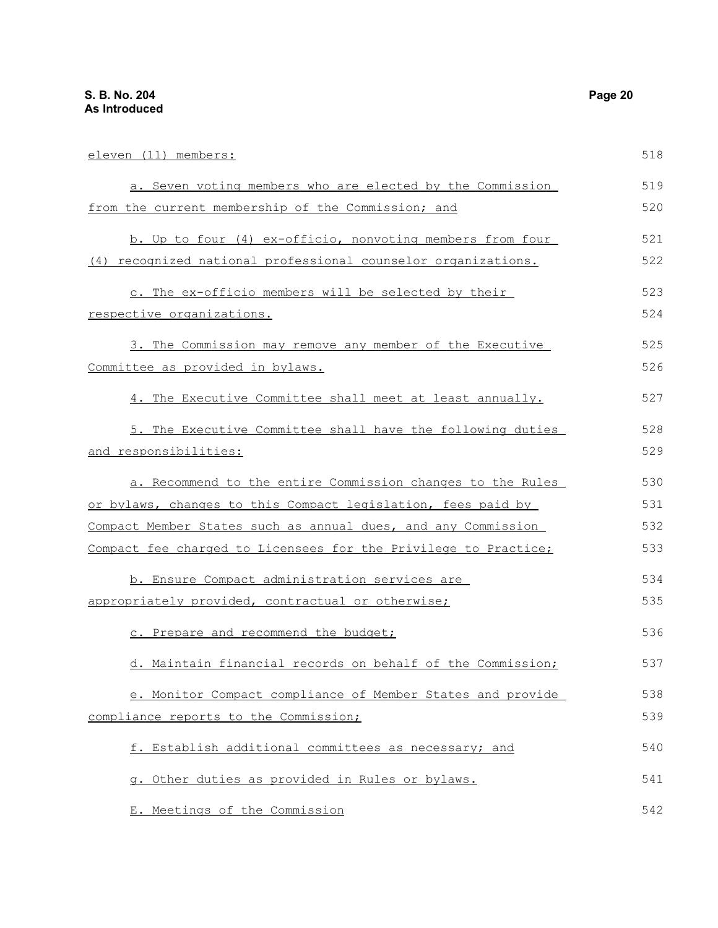| eleven (11) members:                                            | 518 |
|-----------------------------------------------------------------|-----|
| a. Seven voting members who are elected by the Commission       | 519 |
| from the current membership of the Commission; and              | 520 |
| b. Up to four (4) ex-officio, nonvoting members from four       | 521 |
| (4) recognized national professional counselor organizations.   | 522 |
| c. The ex-officio members will be selected by their             | 523 |
| respective organizations.                                       | 524 |
| 3. The Commission may remove any member of the Executive        | 525 |
| Committee as provided in bylaws.                                | 526 |
| 4. The Executive Committee shall meet at least annually.        | 527 |
| 5. The Executive Committee shall have the following duties      | 528 |
| <u>and responsibilities:</u>                                    | 529 |
| a. Recommend to the entire Commission changes to the Rules      | 530 |
| or bylaws, changes to this Compact legislation, fees paid by    | 531 |
| Compact Member States such as annual dues, and any Commission   | 532 |
| Compact fee charged to Licensees for the Privilege to Practice; | 533 |
| b. Ensure Compact administration services are                   | 534 |
| appropriately provided, contractual or otherwise;               | 535 |
| c. Prepare and recommend the budget;                            | 536 |
| d. Maintain financial records on behalf of the Commission;      | 537 |
| e. Monitor Compact compliance of Member States and provide      | 538 |
| compliance reports to the Commission;                           | 539 |
| f. Establish additional committees as necessary; and            | 540 |
| g. Other duties as provided in Rules or bylaws.                 | 541 |
| E. Meetings of the Commission                                   | 542 |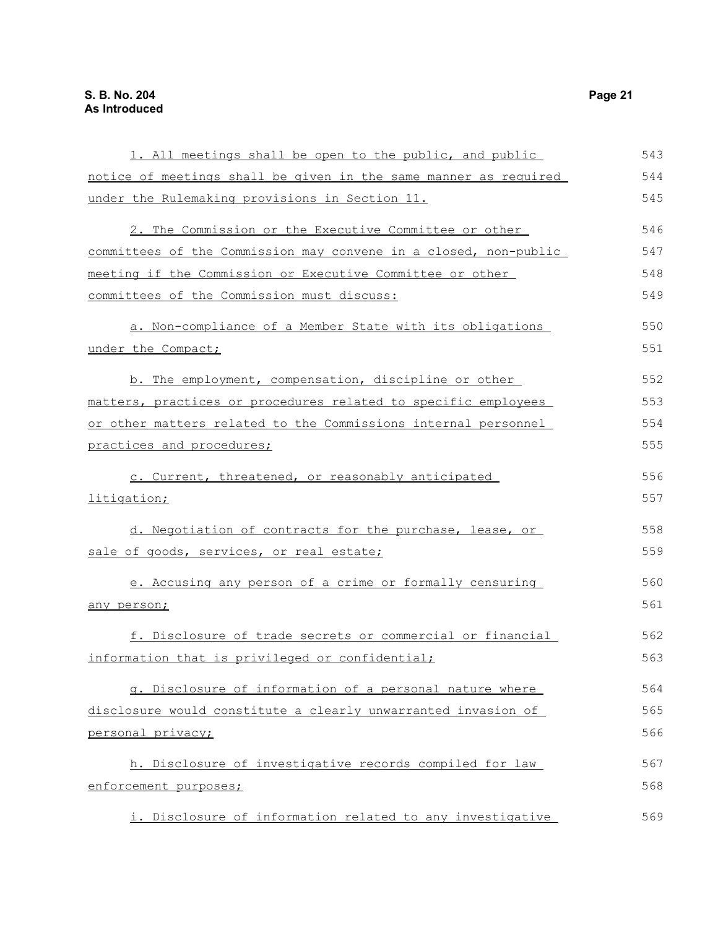| 1. All meetings shall be open to the public, and public          | 543 |
|------------------------------------------------------------------|-----|
| notice of meetings shall be given in the same manner as required | 544 |
| under the Rulemaking provisions in Section 11.                   | 545 |
| 2. The Commission or the Executive Committee or other            | 546 |
| committees of the Commission may convene in a closed, non-public | 547 |
| meeting if the Commission or Executive Committee or other        | 548 |
| committees of the Commission must discuss:                       | 549 |
| a. Non-compliance of a Member State with its obligations         | 550 |
| under the Compact;                                               | 551 |
| b. The employment, compensation, discipline or other             | 552 |
| matters, practices or procedures related to specific employees   | 553 |
| or other matters related to the Commissions internal personnel   | 554 |
| practices and procedures;                                        | 555 |
| c. Current, threatened, or reasonably anticipated                | 556 |
| litigation;                                                      | 557 |
| d. Negotiation of contracts for the purchase, lease, or          | 558 |
| sale of goods, services, or real estate;                         | 559 |
| e. Accusing any person of a crime or formally censuring          | 560 |
| any person;                                                      | 561 |
| f. Disclosure of trade secrets or commercial or financial        | 562 |
| information that is privileged or confidential;                  | 563 |
| q. Disclosure of information of a personal nature where          | 564 |
| disclosure would constitute a clearly unwarranted invasion of    | 565 |
| personal privacy;                                                | 566 |
| h. Disclosure of investigative records compiled for law          | 567 |
| enforcement purposes;                                            | 568 |
| i. Disclosure of information related to any investigative        | 569 |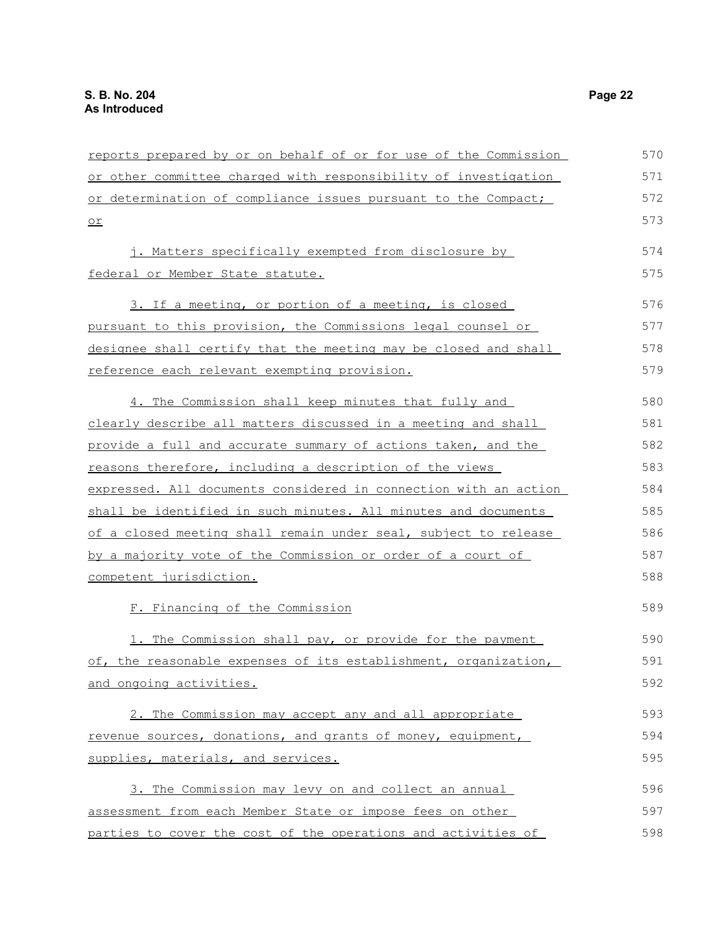| reports prepared by or on behalf of or for use of the Commission | 570 |
|------------------------------------------------------------------|-----|
| or other committee charged with responsibility of investigation  | 571 |
| or determination of compliance issues pursuant to the Compact;   | 572 |
| or                                                               | 573 |
| j. Matters specifically exempted from disclosure by              | 574 |
| federal or Member State statute.                                 | 575 |
| 3. If a meeting, or portion of a meeting, is closed              | 576 |
| pursuant to this provision, the Commissions legal counsel or     | 577 |
| designee shall certify that the meeting may be closed and shall  | 578 |
| reference each relevant exempting provision.                     | 579 |
| 4. The Commission shall keep minutes that fully and              | 580 |
| clearly describe all matters discussed in a meeting and shall    | 581 |
| provide a full and accurate summary of actions taken, and the    | 582 |
| reasons therefore, including a description of the views          | 583 |
| expressed. All documents considered in connection with an action | 584 |
| shall be identified in such minutes. All minutes and documents   | 585 |
| of a closed meeting shall remain under seal, subject to release  | 586 |
| by a majority vote of the Commission or order of a court of      | 587 |
| competent jurisdiction.                                          | 588 |
| F. Financing of the Commission                                   | 589 |
| 1. The Commission shall pay, or provide for the payment          | 590 |
| of, the reasonable expenses of its establishment, organization,  | 591 |
| and ongoing activities.                                          | 592 |
| 2. The Commission may accept any and all appropriate             | 593 |
| revenue sources, donations, and grants of money, equipment,      | 594 |
| supplies, materials, and services.                               | 595 |
| 3. The Commission may levy on and collect an annual              | 596 |
| assessment from each Member State or impose fees on other        | 597 |
| parties to cover the cost of the operations and activities of    | 598 |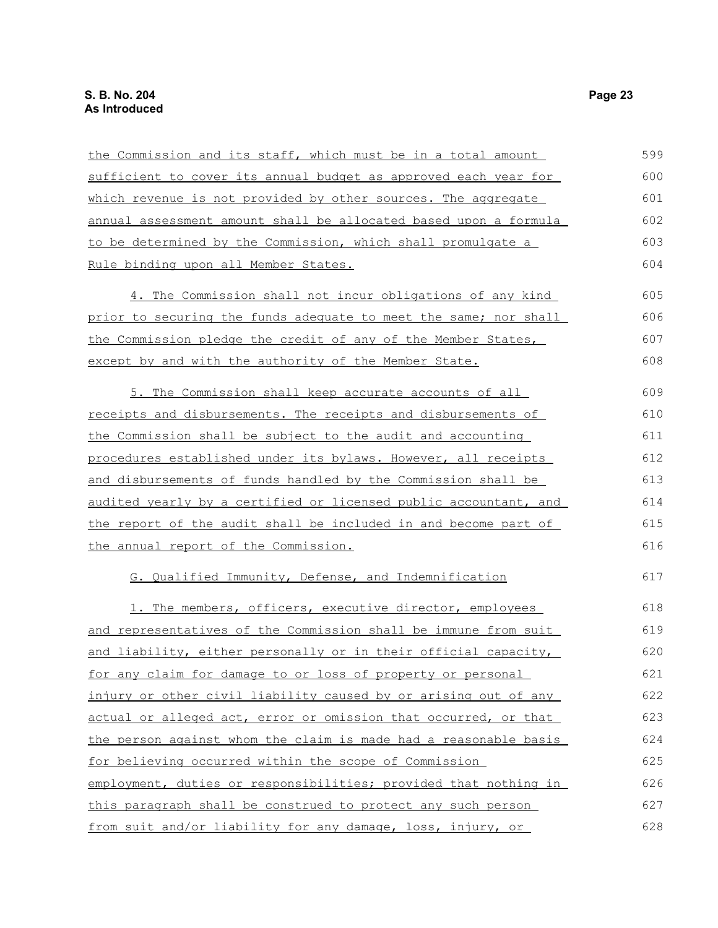| the Commission and its staff, which must be in a total amount    | 599 |
|------------------------------------------------------------------|-----|
| sufficient to cover its annual budget as approved each year for  | 600 |
| which revenue is not provided by other sources. The aggregate    | 601 |
| annual assessment amount shall be allocated based upon a formula | 602 |
| to be determined by the Commission, which shall promulgate a     | 603 |
| Rule binding upon all Member States.                             | 604 |
| 4. The Commission shall not incur obligations of any kind        | 605 |
| prior to securing the funds adequate to meet the same; nor shall | 606 |
| the Commission pledge the credit of any of the Member States,    | 607 |
| except by and with the authority of the Member State.            | 608 |
| 5. The Commission shall keep accurate accounts of all            | 609 |
| receipts and disbursements. The receipts and disbursements of    | 610 |
| the Commission shall be subject to the audit and accounting      | 611 |
| procedures established under its bylaws. However, all receipts   | 612 |
| and disbursements of funds handled by the Commission shall be    | 613 |
| audited yearly by a certified or licensed public accountant, and | 614 |
| the report of the audit shall be included in and become part of  | 615 |
| the annual report of the Commission.                             | 616 |
| G. Qualified Immunity, Defense, and Indemnification              | 617 |
| 1. The members, officers, executive director, employees          | 618 |
| and representatives of the Commission shall be immune from suit  | 619 |
| and liability, either personally or in their official capacity,  | 620 |
| for any claim for damage to or loss of property or personal      | 621 |
| injury or other civil liability caused by or arising out of any  | 622 |
| actual or alleged act, error or omission that occurred, or that  | 623 |
| the person against whom the claim is made had a reasonable basis | 624 |
| for believing occurred within the scope of Commission            | 625 |
| employment, duties or responsibilities; provided that nothing in | 626 |
| this paragraph shall be construed to protect any such person     | 627 |
| from suit and/or liability for any damage, loss, injury, or      | 628 |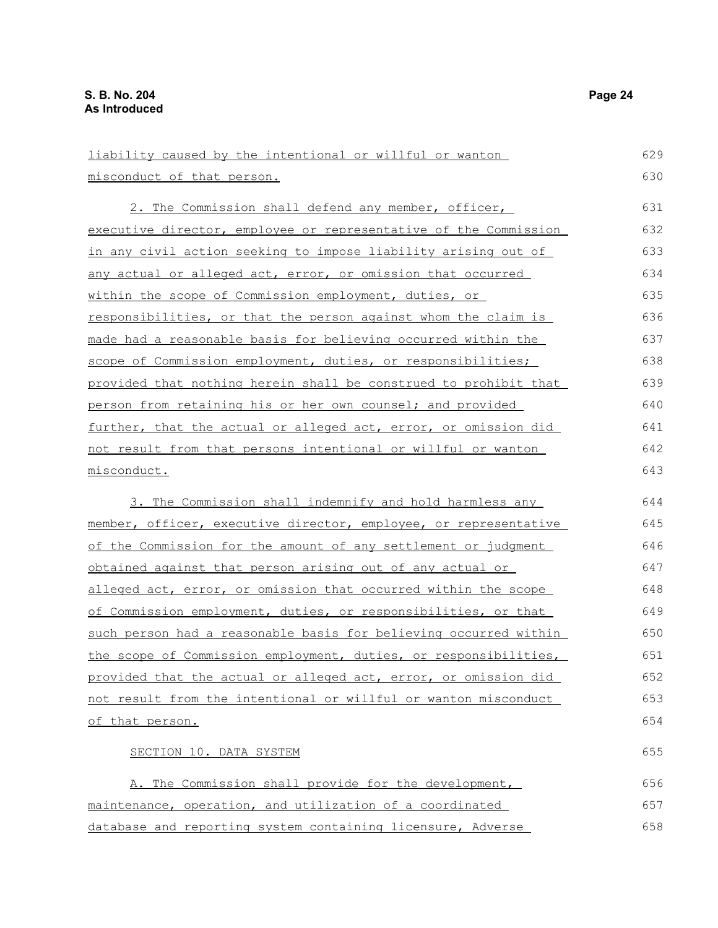| liability caused by the intentional or willful or wanton              | 629 |
|-----------------------------------------------------------------------|-----|
| misconduct of that person.                                            | 630 |
| 2. The Commission shall defend any member, officer,                   | 631 |
| executive director, employee or representative of the Commission      | 632 |
| in any civil action seeking to impose liability arising out of        | 633 |
| any actual or alleged act, error, or omission that occurred           | 634 |
| within the scope of Commission employment, duties, or                 | 635 |
| <u>responsibilities, or that the person against whom the claim is</u> | 636 |
| made had a reasonable basis for believing occurred within the         | 637 |
| scope of Commission employment, duties, or responsibilities;          | 638 |
| provided that nothing herein shall be construed to prohibit that      | 639 |
| person from retaining his or her own counsel; and provided            | 640 |
| further, that the actual or alleged act, error, or omission did       | 641 |
| not result from that persons intentional or willful or wanton         | 642 |
| misconduct.                                                           | 643 |
| 3. The Commission shall indemnify and hold harmless any               | 644 |
| member, officer, executive director, employee, or representative      | 645 |
| of the Commission for the amount of any settlement or judgment        | 646 |
| obtained against that person arising out of any actual or             | 647 |
| alleged act, error, or omission that occurred within the scope        | 648 |
| of Commission employment, duties, or responsibilities, or that        | 649 |
| such person had a reasonable basis for believing occurred within      | 650 |
| the scope of Commission employment, duties, or responsibilities,      | 651 |
| provided that the actual or alleged act, error, or omission did       | 652 |
| not result from the intentional or willful or wanton misconduct       | 653 |
| of that person.                                                       | 654 |
| SECTION 10. DATA SYSTEM                                               | 655 |
| A. The Commission shall provide for the development,                  | 656 |
| maintenance, operation, and utilization of a coordinated              | 657 |

maintenance, operation, and utilization of a coordinated database and reporting system containing licensure, Adverse 658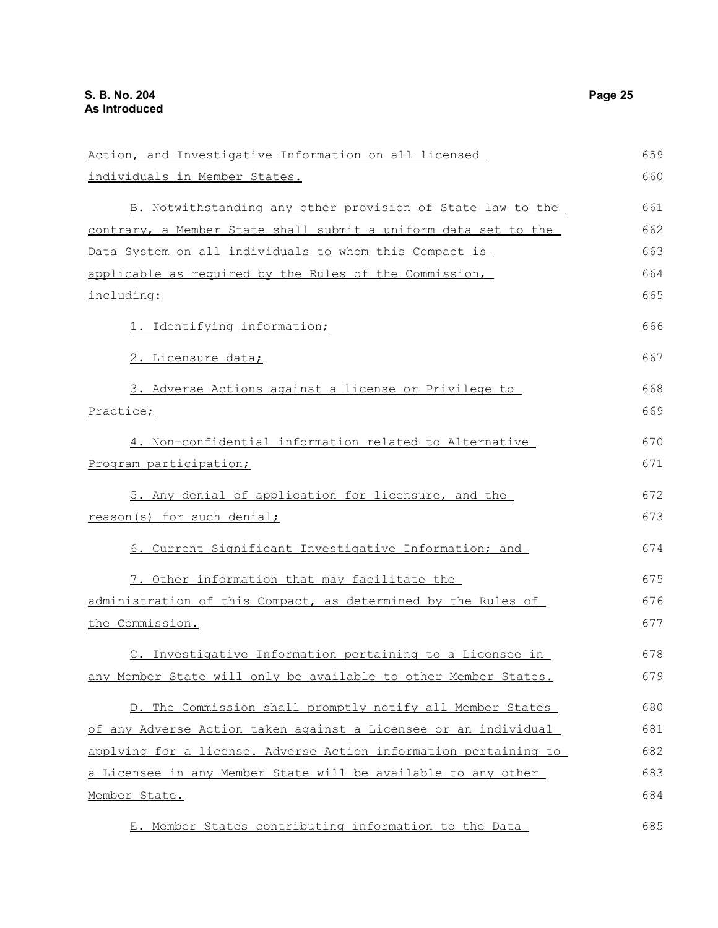| Action, and Investigative Information on all licensed                 | 659 |
|-----------------------------------------------------------------------|-----|
| individuals in Member States.                                         | 660 |
| B. Notwithstanding any other provision of State law to the            | 661 |
| contrary, a Member State shall submit a uniform data set to the       | 662 |
| Data System on all individuals to whom this Compact is                | 663 |
| applicable as required by the Rules of the Commission,                | 664 |
| including:                                                            | 665 |
| 1. Identifying information;                                           | 666 |
| 2. Licensure data;                                                    | 667 |
| 3. Adverse Actions against a license or Privilege to                  | 668 |
| Practice;                                                             | 669 |
| 4. Non-confidential information related to Alternative                | 670 |
| Program participation;                                                | 671 |
| 5. Any denial of application for licensure, and the                   | 672 |
| reason(s) for such denial;                                            | 673 |
| 6. Current Significant Investigative Information; and                 | 674 |
| 7. Other information that may facilitate the                          | 675 |
| administration of this Compact, as determined by the Rules of         | 676 |
| the Commission.                                                       | 677 |
| C. Investigative Information pertaining to a Licensee in              | 678 |
| any Member State will only be available to other Member States.       | 679 |
| D. The Commission shall promptly notify all Member States             | 680 |
| of any Adverse Action taken against a Licensee or an individual       | 681 |
| applying for a license. Adverse Action information pertaining to      | 682 |
| <u>a Licensee in any Member State will be available to any other </u> | 683 |
| Member State.                                                         | 684 |
| E. Member States contributing information to the Data                 | 685 |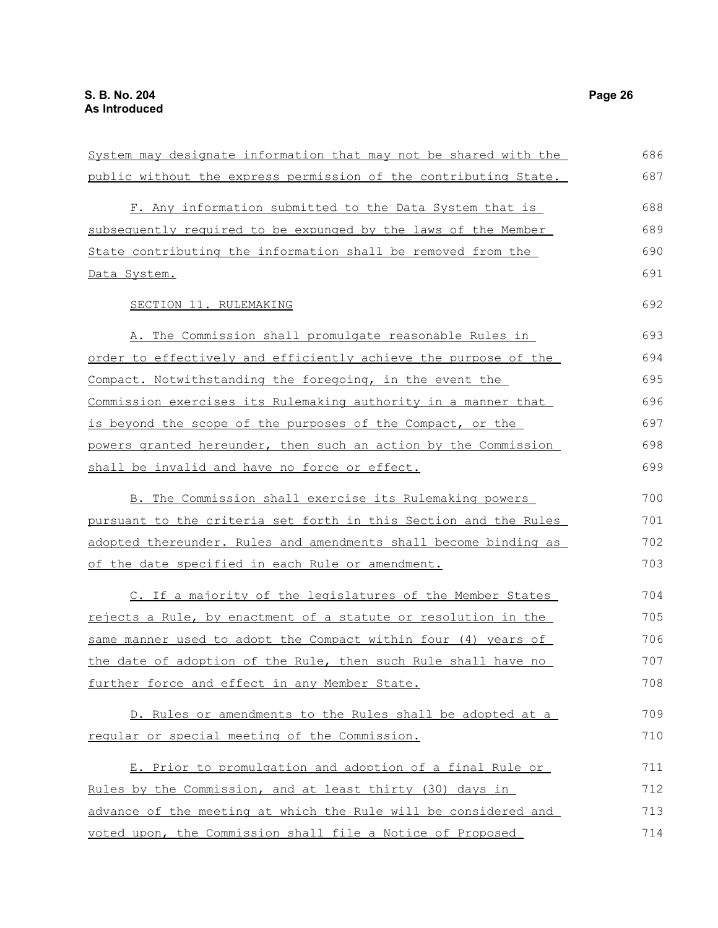| System may designate information that may not be shared with the | 686 |
|------------------------------------------------------------------|-----|
| public without the express permission of the contributing State. | 687 |
|                                                                  |     |
| F. Any information submitted to the Data System that is          | 688 |
| subsequently required to be expunged by the laws of the Member   | 689 |
| State contributing the information shall be removed from the     | 690 |
| Data System.                                                     | 691 |
| SECTION 11. RULEMAKING                                           | 692 |
| A. The Commission shall promulgate reasonable Rules in           | 693 |
| order to effectively and efficiently achieve the purpose of the  | 694 |
| Compact. Notwithstanding the foregoing, in the event the         | 695 |
| Commission exercises its Rulemaking authority in a manner that   | 696 |
| is beyond the scope of the purposes of the Compact, or the       | 697 |
| powers granted hereunder, then such an action by the Commission  | 698 |
| shall be invalid and have no force or effect.                    | 699 |
| B. The Commission shall exercise its Rulemaking powers           | 700 |
| pursuant to the criteria set forth in this Section and the Rules | 701 |
| adopted thereunder. Rules and amendments shall become binding as | 702 |
| of the date specified in each Rule or amendment.                 | 703 |
| C. If a majority of the legislatures of the Member States        | 704 |
| rejects a Rule, by enactment of a statute or resolution in the   | 705 |
| same manner used to adopt the Compact within four (4) years of   | 706 |
| the date of adoption of the Rule, then such Rule shall have no   | 707 |
| further force and effect in any Member State.                    | 708 |
| D. Rules or amendments to the Rules shall be adopted at a        | 709 |
| reqular or special meeting of the Commission.                    | 710 |
| E. Prior to promulgation and adoption of a final Rule or         | 711 |
| Rules by the Commission, and at least thirty (30) days in        | 712 |
| advance of the meeting at which the Rule will be considered and  | 713 |
| voted upon, the Commission shall file a Notice of Proposed       | 714 |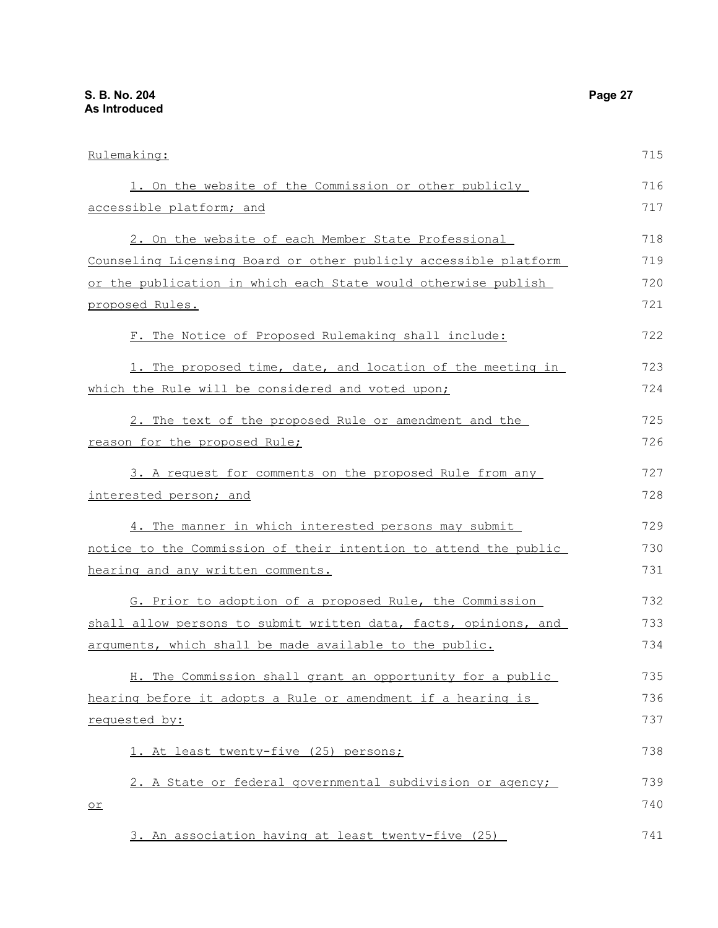| Rulemaking:                                                      | 715 |
|------------------------------------------------------------------|-----|
| 1. On the website of the Commission or other publicly            | 716 |
| accessible platform; and                                         | 717 |
| 2. On the website of each Member State Professional              | 718 |
| Counseling Licensing Board or other publicly accessible platform | 719 |
| or the publication in which each State would otherwise publish   | 720 |
| <u>proposed Rules.</u>                                           | 721 |
| F. The Notice of Proposed Rulemaking shall include:              | 722 |
| 1. The proposed time, date, and location of the meeting in       | 723 |
| which the Rule will be considered and voted upon;                | 724 |
| 2. The text of the proposed Rule or amendment and the            | 725 |
| reason for the proposed Rule;                                    | 726 |
| 3. A request for comments on the proposed Rule from any          | 727 |
| interested person; and                                           | 728 |
| 4. The manner in which interested persons may submit             | 729 |
| notice to the Commission of their intention to attend the public | 730 |
| hearing and any written comments.                                | 731 |
| G. Prior to adoption of a proposed Rule, the Commission          | 732 |
| shall allow persons to submit written data, facts, opinions, and | 733 |
| arguments, which shall be made available to the public.          | 734 |
| H. The Commission shall grant an opportunity for a public        | 735 |
| hearing before it adopts a Rule or amendment if a hearing is     | 736 |
| <u>requested by:</u>                                             | 737 |
| 1. At least twenty-five (25) persons;                            | 738 |
| 2. A State or federal governmental subdivision or agency;        | 739 |
| $\overline{\circ}$                                               | 740 |

3. An association having at least twenty-five (25) 741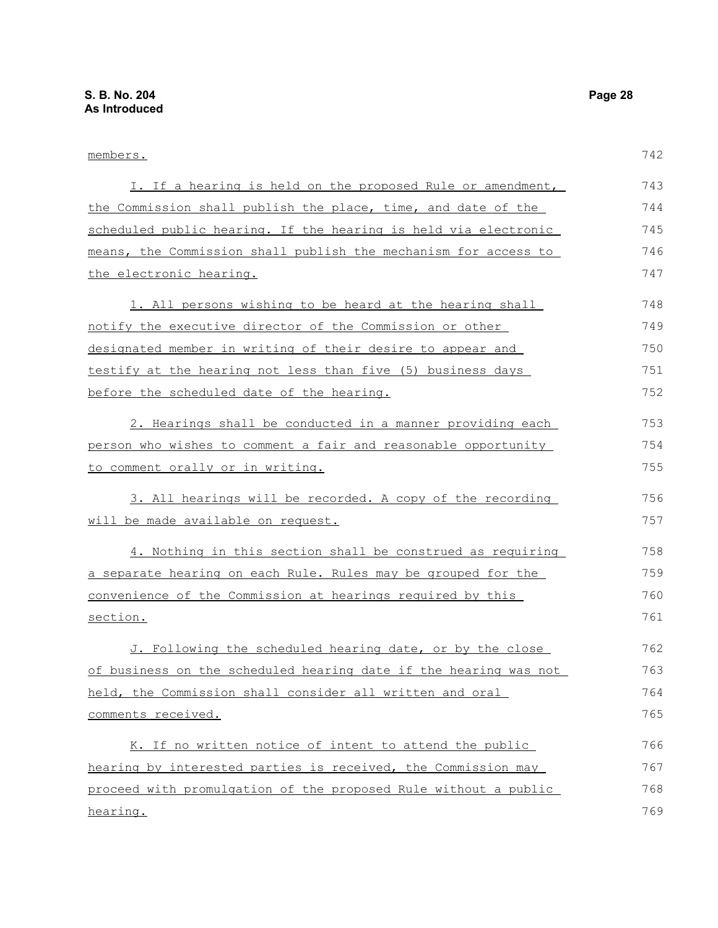hearing.

members. I. If a hearing is held on the proposed Rule or amendment, the Commission shall publish the place, time, and date of the scheduled public hearing. If the hearing is held via electronic means, the Commission shall publish the mechanism for access to the electronic hearing. 1. All persons wishing to be heard at the hearing shall notify the executive director of the Commission or other designated member in writing of their desire to appear and testify at the hearing not less than five (5) business days before the scheduled date of the hearing. 2. Hearings shall be conducted in a manner providing each person who wishes to comment a fair and reasonable opportunity to comment orally or in writing. 3. All hearings will be recorded. A copy of the recording will be made available on request. 4. Nothing in this section shall be construed as requiring a separate hearing on each Rule. Rules may be grouped for the convenience of the Commission at hearings required by this section. J. Following the scheduled hearing date, or by the close of business on the scheduled hearing date if the hearing was not held, the Commission shall consider all written and oral comments received. K. If no written notice of intent to attend the public hearing by interested parties is received, the Commission may proceed with promulgation of the proposed Rule without a public 742 743 744 745 746 747 748 749 750 751 752 753 754 755 756 757 758 759 760 761 762 763 764 765 766 767 768

769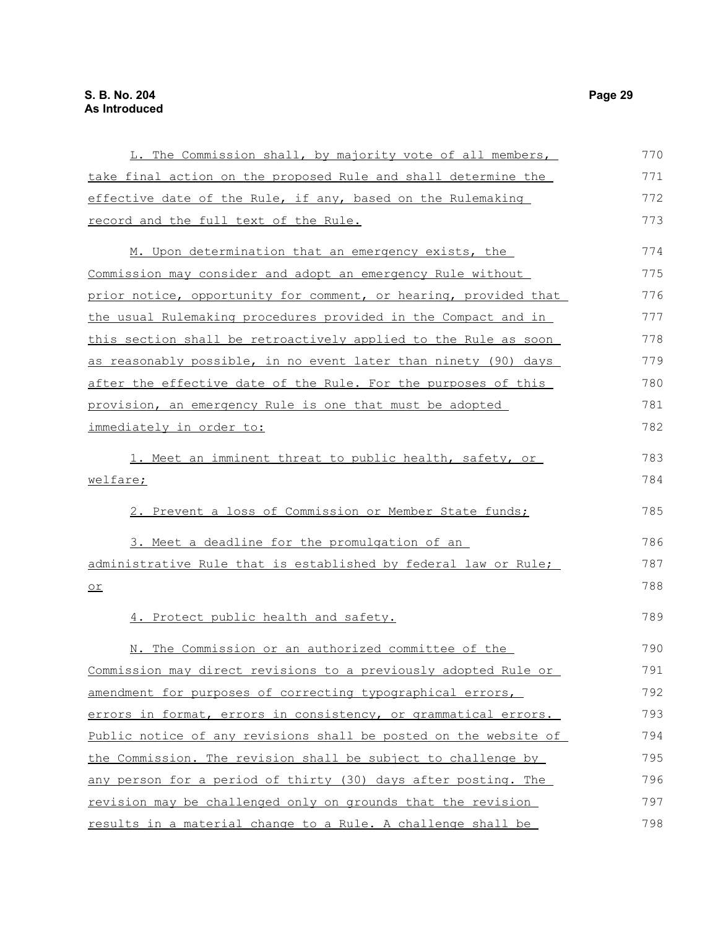| L. The Commission shall, by majority vote of all members,        | 770 |
|------------------------------------------------------------------|-----|
| take final action on the proposed Rule and shall determine the   | 771 |
| effective date of the Rule, if any, based on the Rulemaking      | 772 |
| record and the full text of the Rule.                            | 773 |
| M. Upon determination that an emergency exists, the              | 774 |
| Commission may consider and adopt an emergency Rule without      | 775 |
| prior notice, opportunity for comment, or hearing, provided that | 776 |
| the usual Rulemaking procedures provided in the Compact and in   | 777 |
| this section shall be retroactively applied to the Rule as soon  | 778 |
| as reasonably possible, in no event later than ninety (90) days  | 779 |
| after the effective date of the Rule. For the purposes of this   | 780 |
| provision, an emergency Rule is one that must be adopted         | 781 |
| immediately in order to:                                         | 782 |
| 1. Meet an imminent threat to public health, safety, or          | 783 |
| welfare;                                                         | 784 |
| 2. Prevent a loss of Commission or Member State funds;           | 785 |
| 3. Meet a deadline for the promulgation of an                    | 786 |
| administrative Rule that is established by federal law or Rule;  | 787 |
| $or$                                                             | 788 |
| 4. Protect public health and safety.                             | 789 |
| N. The Commission or an authorized committee of the              | 790 |
| Commission may direct revisions to a previously adopted Rule or  | 791 |
| amendment for purposes of correcting typographical errors,       | 792 |
| errors in format, errors in consistency, or grammatical errors.  | 793 |
| Public notice of any revisions shall be posted on the website of | 794 |
| the Commission. The revision shall be subject to challenge by    | 795 |
| any person for a period of thirty (30) days after posting. The   | 796 |
| revision may be challenged only on grounds that the revision     | 797 |
| results in a material change to a Rule. A challenge shall be     | 798 |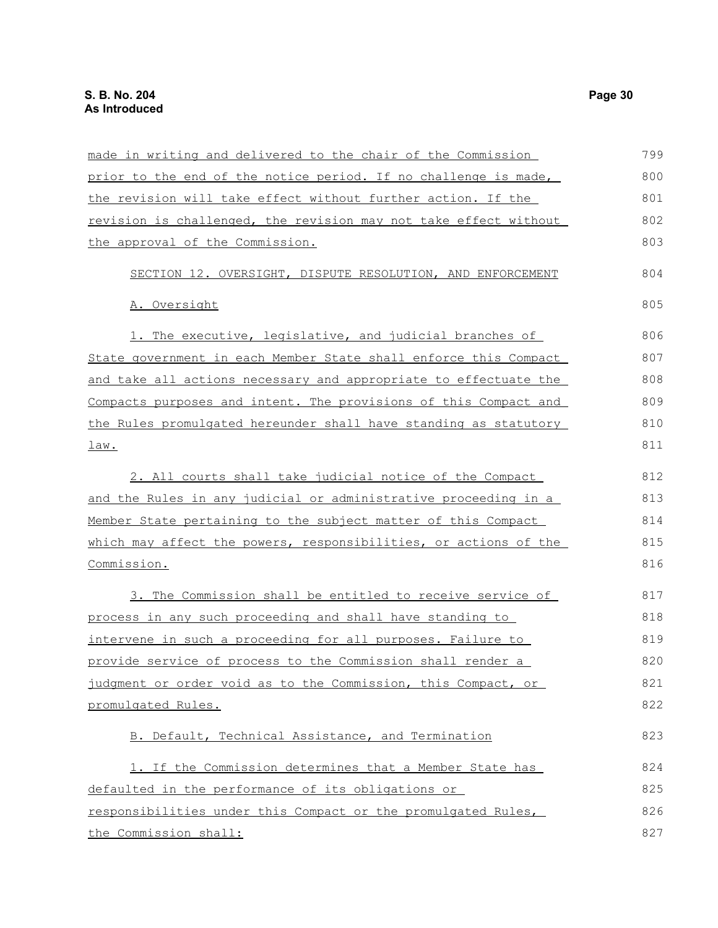| made in writing and delivered to the chair of the Commission     | 799 |
|------------------------------------------------------------------|-----|
| prior to the end of the notice period. If no challenge is made,  | 800 |
| the revision will take effect without further action. If the     | 801 |
| revision is challenged, the revision may not take effect without | 802 |
| the approval of the Commission.                                  | 803 |
| SECTION 12. OVERSIGHT, DISPUTE RESOLUTION, AND ENFORCEMENT       | 804 |
| A. Oversight                                                     | 805 |
| 1. The executive, legislative, and judicial branches of          | 806 |
| State government in each Member State shall enforce this Compact | 807 |
| and take all actions necessary and appropriate to effectuate the | 808 |
| Compacts purposes and intent. The provisions of this Compact and | 809 |
| the Rules promulgated hereunder shall have standing as statutory | 810 |
| <u>law.</u>                                                      | 811 |
| 2. All courts shall take judicial notice of the Compact          | 812 |
| and the Rules in any judicial or administrative proceeding in a  | 813 |
| Member State pertaining to the subject matter of this Compact    | 814 |
| which may affect the powers, responsibilities, or actions of the | 815 |
| Commission.                                                      | 816 |
| 3. The Commission shall be entitled to receive service of        | 817 |
| process in any such proceeding and shall have standing to        | 818 |
| intervene in such a proceeding for all purposes. Failure to      | 819 |
| provide service of process to the Commission shall render a      | 820 |
| judgment or order void as to the Commission, this Compact, or    | 821 |
| promulgated Rules.                                               | 822 |
| B. Default, Technical Assistance, and Termination                | 823 |
| 1. If the Commission determines that a Member State has          | 824 |
| defaulted in the performance of its obligations or               | 825 |
| responsibilities under this Compact or the promulgated Rules,    | 826 |
| the Commission shall:                                            | 827 |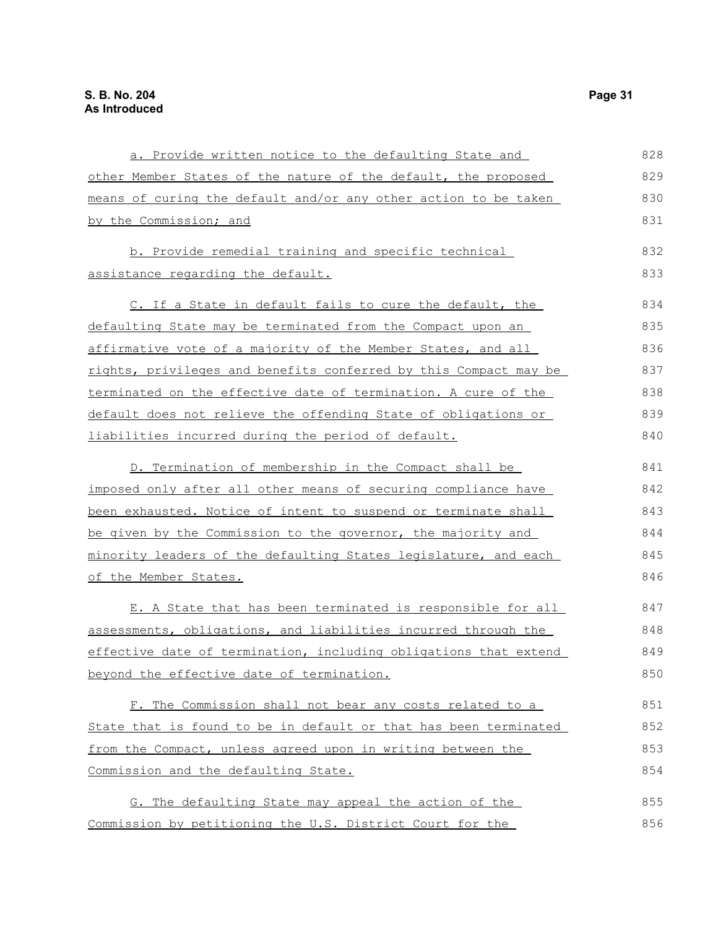| a. Provide written notice to the defaulting State and            | 828 |
|------------------------------------------------------------------|-----|
| other Member States of the nature of the default, the proposed   | 829 |
| means of curing the default and/or any other action to be taken  | 830 |
| by the Commission; and                                           | 831 |
| b. Provide remedial training and specific technical              | 832 |
| assistance regarding the default.                                | 833 |
| C. If a State in default fails to cure the default, the          | 834 |
| defaulting State may be terminated from the Compact upon an      | 835 |
| affirmative vote of a majority of the Member States, and all     | 836 |
| rights, privileges and benefits conferred by this Compact may be | 837 |
| terminated on the effective date of termination. A cure of the   | 838 |
| default does not relieve the offending State of obligations or   | 839 |
| liabilities incurred during the period of default.               | 840 |
| D. Termination of membership in the Compact shall be             | 841 |
| imposed only after all other means of securing compliance have   | 842 |
| been exhausted. Notice of intent to suspend or terminate shall   | 843 |
| be given by the Commission to the governor, the majority and     | 844 |
| minority leaders of the defaulting States legislature, and each  | 845 |
| of the Member States.                                            | 846 |
| E. A State that has been terminated is responsible for all       | 847 |
| assessments, obligations, and liabilities incurred through the   | 848 |
| effective date of termination, including obligations that extend | 849 |
| beyond the effective date of termination.                        | 850 |
| F. The Commission shall not bear any costs related to a          | 851 |
| State that is found to be in default or that has been terminated | 852 |
| from the Compact, unless agreed upon in writing between the      | 853 |
| Commission and the defaulting State.                             | 854 |
| G. The defaulting State may appeal the action of the             | 855 |
| Commission by petitioning the U.S. District Court for the        | 856 |
|                                                                  |     |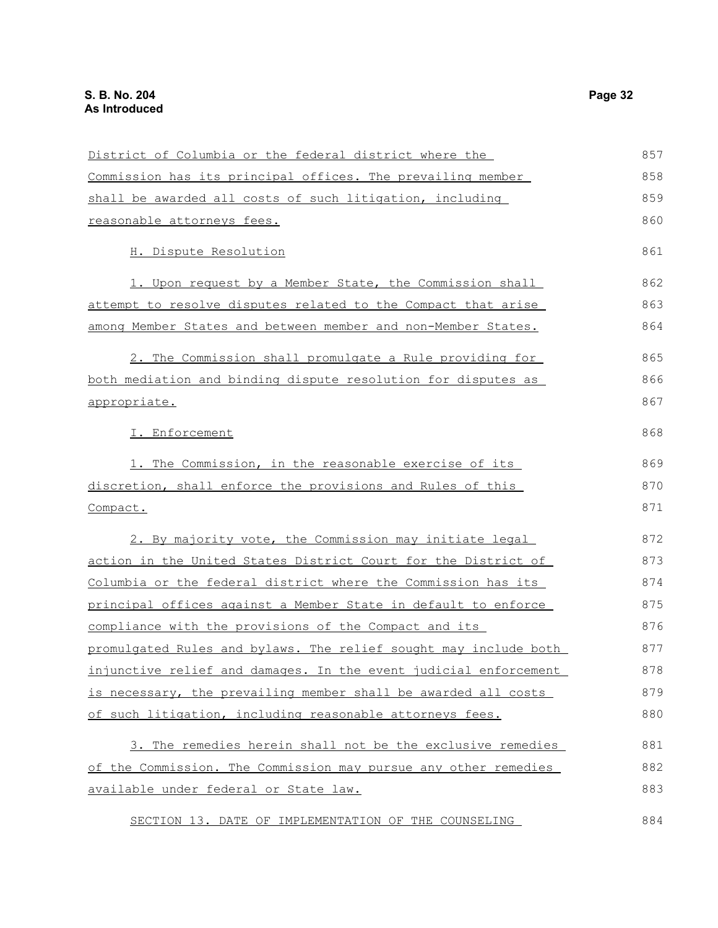| District of Columbia or the federal district where the                | 857 |
|-----------------------------------------------------------------------|-----|
| Commission has its principal offices. The prevailing member           | 858 |
| shall be awarded all costs of such litigation, including              | 859 |
| reasonable attorneys fees.                                            | 860 |
| H. Dispute Resolution                                                 | 861 |
| 1. Upon request by a Member State, the Commission shall               | 862 |
| attempt to resolve disputes related to the Compact that arise         | 863 |
| among Member States and between member and non-Member States.         | 864 |
| 2. The Commission shall promulgate a Rule providing for               | 865 |
| both mediation and binding dispute resolution for disputes as         | 866 |
| appropriate.                                                          | 867 |
| I. Enforcement                                                        | 868 |
| 1. The Commission, in the reasonable exercise of its                  | 869 |
| discretion, shall enforce the provisions and Rules of this            | 870 |
| Compact.                                                              | 871 |
| 2. By majority vote, the Commission may initiate legal                | 872 |
| <u>action in the United States District Court for the District of</u> | 873 |
| Columbia or the federal district where the Commission has its         | 874 |
| principal offices against a Member State in default to enforce        | 875 |
| compliance with the provisions of the Compact and its                 | 876 |
| promulgated Rules and bylaws. The relief sought may include both      | 877 |
| injunctive relief and damages. In the event judicial enforcement      | 878 |
| is necessary, the prevailing member shall be awarded all costs        | 879 |
| of such litigation, including reasonable attorneys fees.              | 880 |
| 3. The remedies herein shall not be the exclusive remedies            | 881 |
| of the Commission. The Commission may pursue any other remedies       | 882 |
| available under federal or State law.                                 | 883 |
| SECTION 13. DATE OF IMPLEMENTATION OF THE COUNSELING                  | 884 |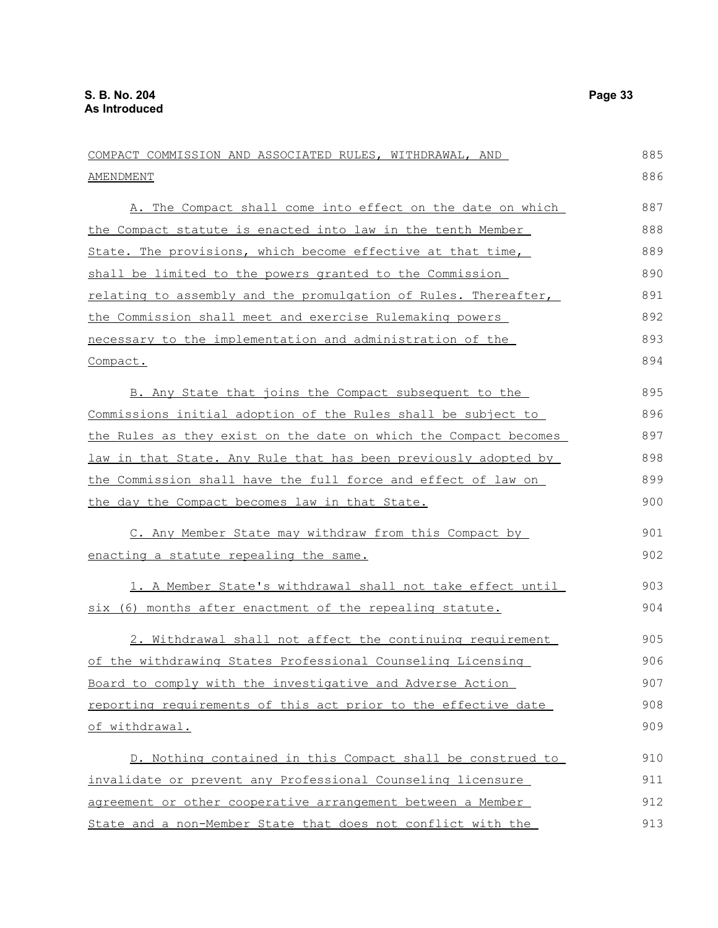COMPACT COMMISSION AND ASSOCIATED RULES, WITHDRAWAL, AND AMENDMENT A. The Compact shall come into effect on the date on which the Compact statute is enacted into law in the tenth Member State. The provisions, which become effective at that time, shall be limited to the powers granted to the Commission relating to assembly and the promulgation of Rules. Thereafter, the Commission shall meet and exercise Rulemaking powers necessary to the implementation and administration of the Compact. B. Any State that joins the Compact subsequent to the Commissions initial adoption of the Rules shall be subject to the Rules as they exist on the date on which the Compact becomes law in that State. Any Rule that has been previously adopted by the Commission shall have the full force and effect of law on the day the Compact becomes law in that State. C. Any Member State may withdraw from this Compact by enacting a statute repealing the same. 1. A Member State's withdrawal shall not take effect until six (6) months after enactment of the repealing statute. 2. Withdrawal shall not affect the continuing requirement of the withdrawing States Professional Counseling Licensing Board to comply with the investigative and Adverse Action reporting requirements of this act prior to the effective date of withdrawal. D. Nothing contained in this Compact shall be construed to invalidate or prevent any Professional Counseling licensure agreement or other cooperative arrangement between a Member State and a non-Member State that does not conflict with the 885 886 887 888 889 890 891 892 893 894 895 896 897 898 899 900 901 902 903 904 905 906 907 908 909 910 911 912 913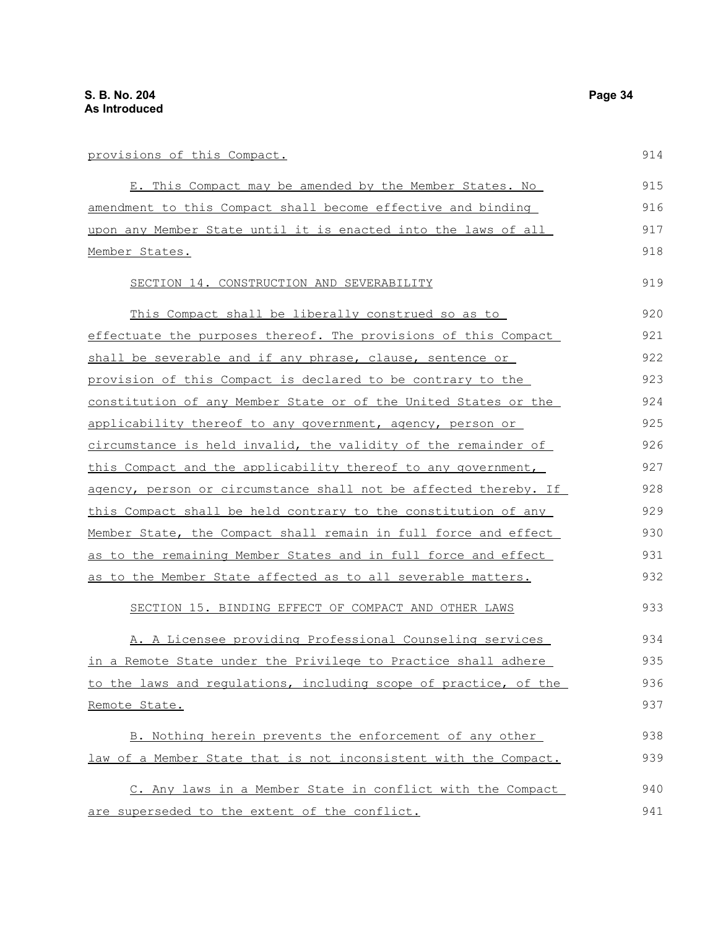| provisions of this Compact.                                      | 914 |
|------------------------------------------------------------------|-----|
| E. This Compact may be amended by the Member States. No          | 915 |
| amendment to this Compact shall become effective and binding     | 916 |
| upon any Member State until it is enacted into the laws of all   | 917 |
| Member States.                                                   | 918 |
| SECTION 14. CONSTRUCTION AND SEVERABILITY                        | 919 |
| This Compact shall be liberally construed so as to               | 920 |
| effectuate the purposes thereof. The provisions of this Compact  | 921 |
| shall be severable and if any phrase, clause, sentence or        | 922 |
| provision of this Compact is declared to be contrary to the      | 923 |
| constitution of any Member State or of the United States or the  | 924 |
| applicability thereof to any government, agency, person or       | 925 |
| circumstance is held invalid, the validity of the remainder of   | 926 |
| this Compact and the applicability thereof to any government,    | 927 |
| agency, person or circumstance shall not be affected thereby. If | 928 |
| this Compact shall be held contrary to the constitution of any   | 929 |
| Member State, the Compact shall remain in full force and effect  | 930 |
| as to the remaining Member States and in full force and effect   | 931 |
| as to the Member State affected as to all severable matters.     | 932 |
| SECTION 15. BINDING EFFECT OF COMPACT AND OTHER LAWS             | 933 |
| A. A Licensee providing Professional Counseling services         | 934 |
| in a Remote State under the Privilege to Practice shall adhere   | 935 |
| to the laws and regulations, including scope of practice, of the | 936 |
| Remote State.                                                    | 937 |
| B. Nothing herein prevents the enforcement of any other          | 938 |

C. Any laws in a Member State in conflict with the Compact are superseded to the extent of the conflict. 940 941

law of a Member State that is not inconsistent with the Compact.

 $014$ 

939